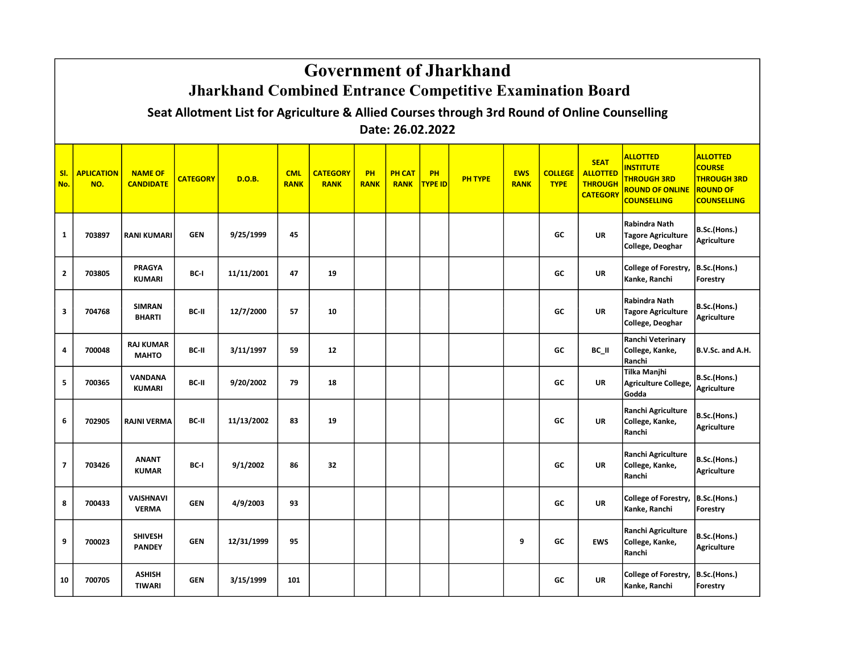|            |                                                                                                                                                                                                       | <b>Government of Jharkhand</b><br><b>Jharkhand Combined Entrance Competitive Examination Board</b> |                 |                                                                                              |                           |                                |                   |                              |                      |                |                           |                               |                                                                     |                                                                                                           |                                                                                                 |  |
|------------|-------------------------------------------------------------------------------------------------------------------------------------------------------------------------------------------------------|----------------------------------------------------------------------------------------------------|-----------------|----------------------------------------------------------------------------------------------|---------------------------|--------------------------------|-------------------|------------------------------|----------------------|----------------|---------------------------|-------------------------------|---------------------------------------------------------------------|-----------------------------------------------------------------------------------------------------------|-------------------------------------------------------------------------------------------------|--|
|            |                                                                                                                                                                                                       |                                                                                                    |                 | Seat Allotment List for Agriculture & Allied Courses through 3rd Round of Online Counselling |                           |                                |                   |                              |                      |                |                           |                               |                                                                     |                                                                                                           |                                                                                                 |  |
|            |                                                                                                                                                                                                       |                                                                                                    |                 |                                                                                              |                           |                                |                   | Date: 26.02.2022             |                      |                |                           |                               |                                                                     |                                                                                                           |                                                                                                 |  |
| SI.<br>No. | <b>APLICATION</b><br>NO.                                                                                                                                                                              | <b>NAME OF</b><br><b>CANDIDATE</b>                                                                 | <b>CATEGORY</b> | D.O.B.                                                                                       | <b>CML</b><br><b>RANK</b> | <b>CATEGORY</b><br><b>RANK</b> | PH<br><b>RANK</b> | <b>PH CAT</b><br><b>RANK</b> | PH<br><b>TYPE ID</b> | <b>PH TYPE</b> | <b>EWS</b><br><b>RANK</b> | <b>COLLEGE</b><br><b>TYPE</b> | <b>SEAT</b><br><b>ALLOTTED</b><br><b>THROUGH</b><br><b>CATEGORY</b> | <b>ALLOTTED</b><br><b>INSTITUTE</b><br><b>THROUGH 3RD</b><br><b>ROUND OF ONLINE</b><br><b>COUNSELLING</b> | <b>ALLOTTED</b><br><b>COURSE</b><br><b>THROUGH 3RD</b><br><b>ROUND OF</b><br><b>COUNSELLING</b> |  |
| 1          | 703897                                                                                                                                                                                                | <b>RANI KUMARI</b>                                                                                 | <b>GEN</b>      | 9/25/1999                                                                                    | 45                        |                                |                   |                              |                      |                |                           | GC                            | <b>UR</b>                                                           | Rabindra Nath<br><b>Tagore Agriculture</b><br>College, Deoghar                                            | B.Sc.(Hons.)<br><b>Agriculture</b>                                                              |  |
| 2          | <b>PRAGYA</b><br>College of Forestry,<br>B.Sc.(Hons.)<br>11/11/2001<br>47<br>GC<br>703805<br>BC-I<br>19<br><b>UR</b><br>Kanke, Ranchi<br><b>KUMARI</b><br>Forestry                                    |                                                                                                    |                 |                                                                                              |                           |                                |                   |                              |                      |                |                           |                               |                                                                     |                                                                                                           |                                                                                                 |  |
| 3          | Rabindra Nath<br>B.Sc.(Hons.)<br><b>SIMRAN</b><br>BC-II<br>12/7/2000<br>57<br>10<br>GC<br>704768<br><b>UR</b><br><b>Tagore Agriculture</b><br><b>Agriculture</b><br><b>BHARTI</b><br>College, Deoghar |                                                                                                    |                 |                                                                                              |                           |                                |                   |                              |                      |                |                           |                               |                                                                     |                                                                                                           |                                                                                                 |  |
| 4          | 700048                                                                                                                                                                                                | <b>RAJ KUMAR</b><br><b>MAHTO</b>                                                                   | BC-II           | 3/11/1997                                                                                    | 59                        | 12                             |                   |                              |                      |                |                           | GC                            | BC II                                                               | <b>Ranchi Veterinary</b><br>College, Kanke,<br>Ranchi                                                     | B.V.Sc. and A.H.                                                                                |  |
| 5          | 700365                                                                                                                                                                                                | <b>VANDANA</b><br><b>KUMARI</b>                                                                    | BC-II           | 9/20/2002                                                                                    | 79                        | 18                             |                   |                              |                      |                |                           | GC                            | <b>UR</b>                                                           | <b>Tilka Manjhi</b><br>Agriculture College,<br>Godda                                                      | B.Sc.(Hons.)<br><b>Agriculture</b>                                                              |  |
| 6          | 702905                                                                                                                                                                                                | <b>RAJNI VERMA</b>                                                                                 | BC-II           | 11/13/2002                                                                                   | 83                        | 19                             |                   |                              |                      |                |                           | GC                            | <b>UR</b>                                                           | Ranchi Agriculture<br>College, Kanke,<br>Ranchi                                                           | B.Sc.(Hons.)<br><b>Agriculture</b>                                                              |  |
| 7          | 703426                                                                                                                                                                                                | <b>ANANT</b><br><b>KUMAR</b>                                                                       | BC-I            | 9/1/2002                                                                                     | 86                        | 32                             |                   |                              |                      |                |                           | GC                            | <b>UR</b>                                                           | <b>Ranchi Agriculture</b><br>College, Kanke,<br>Ranchi                                                    | B.Sc.(Hons.)<br><b>Agriculture</b>                                                              |  |
| 8          | 700433                                                                                                                                                                                                | <b>VAISHNAVI</b><br><b>VERMA</b>                                                                   | <b>GEN</b>      | 4/9/2003                                                                                     | 93                        |                                |                   |                              |                      |                |                           | GC                            | <b>UR</b>                                                           | College of Forestry,<br>Kanke, Ranchi                                                                     | B.Sc.(Hons.)<br>Forestry                                                                        |  |
| 9          | 700023                                                                                                                                                                                                | <b>SHIVESH</b><br><b>PANDEY</b>                                                                    | <b>GEN</b>      | 12/31/1999                                                                                   | 95                        |                                |                   |                              |                      |                | 9                         | GC                            | <b>EWS</b>                                                          | Ranchi Agriculture<br>College, Kanke,<br>Ranchi                                                           | B.Sc.(Hons.)<br><b>Agriculture</b>                                                              |  |
| 10         | 700705                                                                                                                                                                                                | <b>ASHISH</b><br><b>TIWARI</b>                                                                     | <b>GEN</b>      | 3/15/1999                                                                                    | 101                       |                                |                   |                              |                      |                |                           | GC                            | <b>UR</b>                                                           | <b>College of Forestry,</b><br>Kanke, Ranchi                                                              | B.Sc.(Hons.)<br>Forestry                                                                        |  |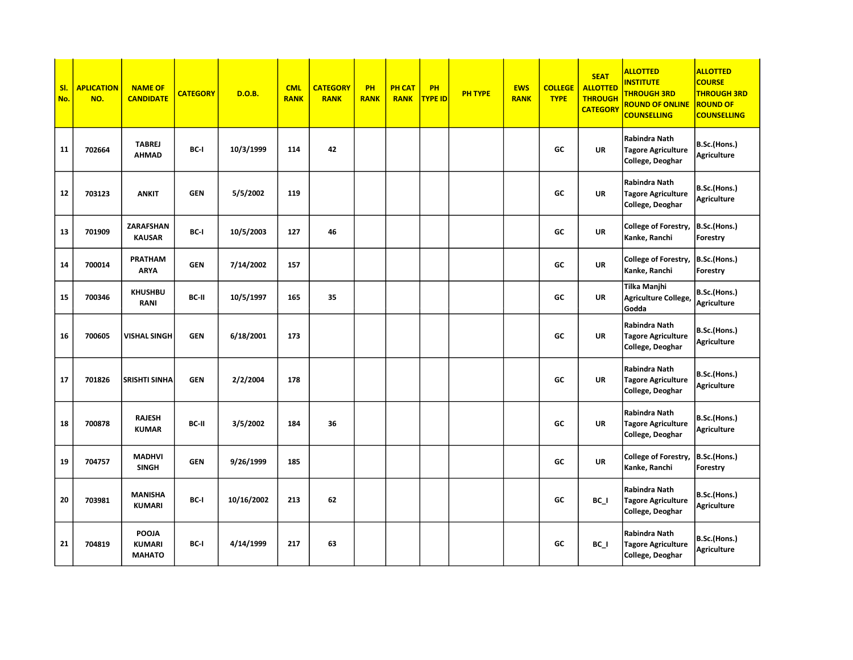| SI.<br>No. | <b>APLICATION</b><br>NO. | <b>NAME OF</b><br><b>CANDIDATE</b>      | <b>CATEGORY</b> | <b>D.O.B.</b> | <b>CML</b><br><b>RANK</b> | <b>CATEGORY</b><br><b>RANK</b> | PH<br><b>RANK</b> | <b>PH CAT</b><br><b>RANK</b> | PH<br><b>TYPE ID</b> | <b>PH TYPE</b> | <b>EWS</b><br><b>RANK</b> | <b>COLLEGE</b><br><b>TYPE</b> | <b>SEAT</b><br><b>ALLOTTED</b><br><b>THROUGH</b><br><b>CATEGORY</b> | <b>ALLOTTED</b><br><b>INSTITUTE</b><br><b>THROUGH 3RD</b><br><b>ROUND OF ONLINE</b><br><b>COUNSELLING</b> | <b>ALLOTTED</b><br><b>COURSE</b><br><b>THROUGH 3RD</b><br><b>ROUND OF</b><br><b>COUNSELLING</b> |
|------------|--------------------------|-----------------------------------------|-----------------|---------------|---------------------------|--------------------------------|-------------------|------------------------------|----------------------|----------------|---------------------------|-------------------------------|---------------------------------------------------------------------|-----------------------------------------------------------------------------------------------------------|-------------------------------------------------------------------------------------------------|
| 11         | 702664                   | <b>TABREJ</b><br><b>AHMAD</b>           | BC-I            | 10/3/1999     | 114                       | 42                             |                   |                              |                      |                |                           | GC                            | UR                                                                  | <b>Rabindra Nath</b><br><b>Tagore Agriculture</b><br>College, Deoghar                                     | B.Sc.(Hons.)<br><b>Agriculture</b>                                                              |
| 12         | 703123                   | <b>ANKIT</b>                            | <b>GEN</b>      | 5/5/2002      | 119                       |                                |                   |                              |                      |                |                           | GC                            | UR                                                                  | Rabindra Nath<br><b>Tagore Agriculture</b><br>College, Deoghar                                            | B.Sc.(Hons.)<br><b>Agriculture</b>                                                              |
| 13         | 701909                   | ZARAFSHAN<br><b>KAUSAR</b>              | BC-I            | 10/5/2003     | 127                       | 46                             |                   |                              |                      |                |                           | GC                            | UR                                                                  | College of Forestry,<br>Kanke, Ranchi                                                                     | B.Sc.(Hons.)<br>Forestry                                                                        |
| 14         | 700014                   | <b>PRATHAM</b><br><b>ARYA</b>           | <b>GEN</b>      | 7/14/2002     | 157                       |                                |                   |                              |                      |                |                           | GC                            | UR                                                                  | College of Forestry,<br>Kanke, Ranchi                                                                     | B.Sc.(Hons.)<br>Forestry                                                                        |
| 15         | 700346                   | <b>KHUSHBU</b><br><b>RANI</b>           | BC-II           | 10/5/1997     | 165                       | 35                             |                   |                              |                      |                |                           | GC                            | UR                                                                  | Tilka Manjhi<br><b>Agriculture College,</b><br>Godda                                                      | B.Sc.(Hons.)<br><b>Agriculture</b>                                                              |
| 16         | 700605                   | VISHAL SINGH                            | <b>GEN</b>      | 6/18/2001     | 173                       |                                |                   |                              |                      |                |                           | GC                            | UR                                                                  | <b>Rabindra Nath</b><br><b>Tagore Agriculture</b><br>College, Deoghar                                     | B.Sc.(Hons.)<br><b>Agriculture</b>                                                              |
| 17         | 701826                   | <b>SRISHTI SINHA</b>                    | <b>GEN</b>      | 2/2/2004      | 178                       |                                |                   |                              |                      |                |                           | GC                            | <b>UR</b>                                                           | Rabindra Nath<br><b>Tagore Agriculture</b><br>College, Deoghar                                            | B.Sc.(Hons.)<br><b>Agriculture</b>                                                              |
| 18         | 700878                   | <b>RAJESH</b><br><b>KUMAR</b>           | BC-II           | 3/5/2002      | 184                       | 36                             |                   |                              |                      |                |                           | GC                            | <b>UR</b>                                                           | Rabindra Nath<br><b>Tagore Agriculture</b><br>College, Deoghar                                            | B.Sc.(Hons.)<br><b>Agriculture</b>                                                              |
| 19         | 704757                   | <b>MADHVI</b><br><b>SINGH</b>           | <b>GEN</b>      | 9/26/1999     | 185                       |                                |                   |                              |                      |                |                           | GC                            | UR                                                                  | College of Forestry,<br>Kanke, Ranchi                                                                     | B.Sc.(Hons.)<br>Forestry                                                                        |
| 20         | 703981                   | <b>MANISHA</b><br>KUMARI                | BC-I            | 10/16/2002    | 213                       | 62                             |                   |                              |                      |                |                           | GC                            | $BC_$                                                               | Rabindra Nath<br><b>Tagore Agriculture</b><br>College, Deoghar                                            | B.Sc.(Hons.)<br>Agriculture                                                                     |
| 21         | 704819                   | POOJA<br><b>KUMARI</b><br><b>MAHATO</b> | BC-I            | 4/14/1999     | 217                       | 63                             |                   |                              |                      |                |                           | GC                            | BC I                                                                | Rabindra Nath<br><b>Tagore Agriculture</b><br>College, Deoghar                                            | B.Sc.(Hons.)<br>Agriculture                                                                     |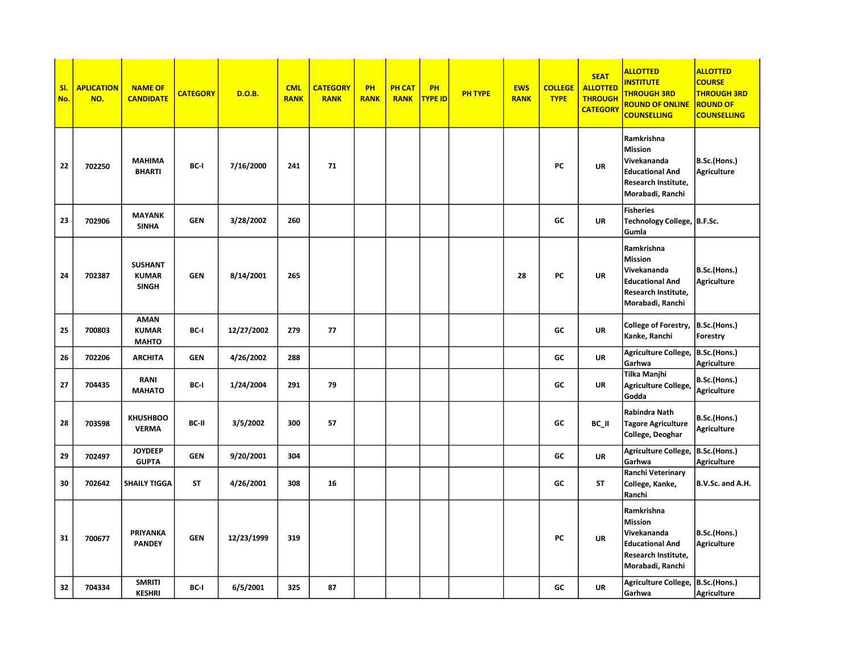| SI.<br>No. | <b>APLICATION</b><br>NO. | <b>NAME OF</b><br><b>CANDIDATE</b>             | <b>CATEGORY</b> | <b>D.O.B.</b> | <b>CML</b><br><b>RANK</b> | <b>CATEGORY</b><br><b>RANK</b> | PH<br><b>RANK</b> | <b>PH CAT</b><br><b>RANK</b> | <b>PH</b><br><b>TYPE ID</b> | <b>PH TYPE</b> | <b>EWS</b><br><b>RANK</b> | <b>COLLEGE</b><br><b>TYPE</b> | <b>SEAT</b><br><b>ALLOTTED</b><br><b>THROUGH</b><br><b>CATEGORY</b> | <b>ALLOTTED</b><br><b>INSTITUTE</b><br><b>THROUGH 3RD</b><br><b>ROUND OF ONLINE</b><br><b>COUNSELLING</b>        | <b>ALLOTTED</b><br><b>COURSE</b><br><b>THROUGH 3RD</b><br><b>ROUND OF</b><br><b>COUNSELLING</b> |
|------------|--------------------------|------------------------------------------------|-----------------|---------------|---------------------------|--------------------------------|-------------------|------------------------------|-----------------------------|----------------|---------------------------|-------------------------------|---------------------------------------------------------------------|------------------------------------------------------------------------------------------------------------------|-------------------------------------------------------------------------------------------------|
| 22         | 702250                   | <b>MAHIMA</b><br><b>BHARTI</b>                 | BC-I            | 7/16/2000     | 241                       | 71                             |                   |                              |                             |                |                           | PC                            | UR                                                                  | Ramkrishna<br><b>Mission</b><br>Vivekananda<br><b>Educational And</b><br>Research Institute,<br>Morabadi, Ranchi | B.Sc.(Hons.)<br><b>Agriculture</b>                                                              |
| 23         | 702906                   | <b>MAYANK</b><br><b>SINHA</b>                  | <b>GEN</b>      | 3/28/2002     | 260                       |                                |                   |                              |                             |                |                           | GC                            | UR                                                                  | <b>Fisheries</b><br>Technology College, B.F.Sc.<br>Gumla                                                         |                                                                                                 |
| 24         | 702387                   | <b>SUSHANT</b><br><b>KUMAR</b><br><b>SINGH</b> | <b>GEN</b>      | 8/14/2001     | 265                       |                                |                   |                              |                             |                | 28                        | PC                            | UR                                                                  | Ramkrishna<br><b>Mission</b><br>Vivekananda<br><b>Educational And</b><br>Research Institute,<br>Morabadi, Ranchi | B.Sc.(Hons.)<br><b>Agriculture</b>                                                              |
| 25         | 700803                   | <b>AMAN</b><br><b>KUMAR</b><br><b>MAHTO</b>    | BC-I            | 12/27/2002    | 279                       | 77                             |                   |                              |                             |                |                           | GC                            | <b>UR</b>                                                           | College of Forestry,<br>Kanke, Ranchi                                                                            | B.Sc.(Hons.)<br>Forestry                                                                        |
| 26         | 702206                   | <b>ARCHITA</b>                                 | <b>GEN</b>      | 4/26/2002     | 288                       |                                |                   |                              |                             |                |                           | GC                            | <b>UR</b>                                                           | Agriculture College,<br>Garhwa                                                                                   | B.Sc.(Hons.)<br><b>Agriculture</b>                                                              |
| 27         | 704435                   | <b>RANI</b><br><b>MAHATO</b>                   | BC-I            | 1/24/2004     | 291                       | 79                             |                   |                              |                             |                |                           | GC                            | UR                                                                  | Tilka Manjhi<br>Agriculture College,<br>Godda                                                                    | B.Sc.(Hons.)<br><b>Agriculture</b>                                                              |
| 28         | 703598                   | <b>KHUSHBOO</b><br><b>VERMA</b>                | BC-II           | 3/5/2002      | 300                       | 57                             |                   |                              |                             |                |                           | GC                            | BC II                                                               | Rabindra Nath<br><b>Tagore Agriculture</b><br>College, Deoghar                                                   | B.Sc.(Hons.)<br><b>Agriculture</b>                                                              |
| 29         | 702497                   | <b>JOYDEEP</b><br><b>GUPTA</b>                 | <b>GEN</b>      | 9/20/2001     | 304                       |                                |                   |                              |                             |                |                           | GC                            | UR                                                                  | Agriculture College,<br>Garhwa                                                                                   | B.Sc.(Hons.)<br>Agriculture                                                                     |
| 30         | 702642                   | <b>SHAILY TIGGA</b>                            | <b>ST</b>       | 4/26/2001     | 308                       | 16                             |                   |                              |                             |                |                           | GC                            | ST                                                                  | Ranchi Veterinary<br>College, Kanke,<br>Ranchi                                                                   | B.V.Sc. and A.H.                                                                                |
| 31         | 700677                   | PRIYANKA<br><b>PANDEY</b>                      | <b>GEN</b>      | 12/23/1999    | 319                       |                                |                   |                              |                             |                |                           | PC                            | UR                                                                  | Ramkrishna<br><b>Mission</b><br>Vivekananda<br><b>Educational And</b><br>Research Institute,<br>Morabadi, Ranchi | B.Sc.(Hons.)<br><b>Agriculture</b>                                                              |
| 32         | 704334                   | <b>SMRITI</b><br><b>KESHRI</b>                 | BC-I            | 6/5/2001      | 325                       | 87                             |                   |                              |                             |                |                           | GC                            | UR                                                                  | Agriculture College,<br>Garhwa                                                                                   | B.Sc.(Hons.)<br>Agriculture                                                                     |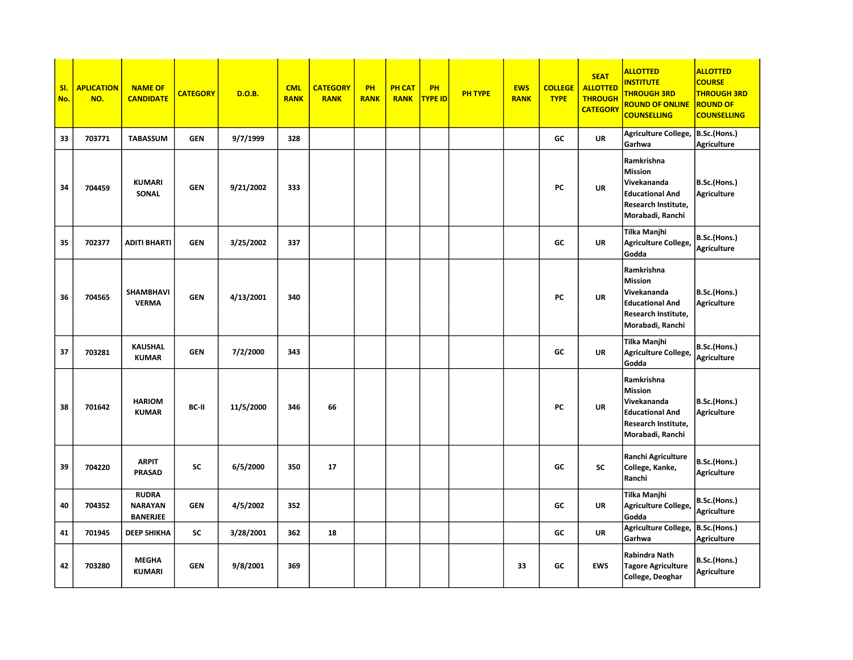| SI.<br>No. | <b>APLICATION</b><br>NO. | <b>NAME OF</b><br><b>CANDIDATE</b>                | <b>CATEGORY</b> | D.O.B.    | <b>CML</b><br><b>RANK</b> | <b>CATEGORY</b><br><b>RANK</b> | PH<br><b>RANK</b> | <b>PH CAT</b><br><b>RANK</b> | PH<br><b>TYPE ID</b> | <b>PH TYPE</b> | <b>EWS</b><br><b>RANK</b> | <b>COLLEGE</b><br><b>TYPE</b> | <b>SEAT</b><br><b>ALLOTTED</b><br><b>THROUGH</b><br><b>CATEGORY</b> | <b>ALLOTTED</b><br><b>INSTITUTE</b><br><b>THROUGH 3RD</b><br><b>ROUND OF ONLINE</b><br><b>COUNSELLING</b>        | <b>ALLOTTED</b><br><b>COURSE</b><br><b>THROUGH 3RD</b><br><b>ROUND OF</b><br><b>COUNSELLING</b> |
|------------|--------------------------|---------------------------------------------------|-----------------|-----------|---------------------------|--------------------------------|-------------------|------------------------------|----------------------|----------------|---------------------------|-------------------------------|---------------------------------------------------------------------|------------------------------------------------------------------------------------------------------------------|-------------------------------------------------------------------------------------------------|
| 33         | 703771                   | <b>TABASSUM</b>                                   | <b>GEN</b>      | 9/7/1999  | 328                       |                                |                   |                              |                      |                |                           | GC                            | <b>UR</b>                                                           | Agriculture College,<br>Garhwa                                                                                   | B.Sc.(Hons.)<br>Agriculture                                                                     |
| 34         | 704459                   | <b>KUMARI</b><br>SONAL                            | <b>GEN</b>      | 9/21/2002 | 333                       |                                |                   |                              |                      |                |                           | PC                            | UR                                                                  | Ramkrishna<br>Mission<br>Vivekananda<br><b>Educational And</b><br>Research Institute,<br>Morabadi, Ranchi        | B.Sc.(Hons.)<br><b>Agriculture</b>                                                              |
| 35         | 702377                   | <b>ADITI BHARTI</b>                               | <b>GEN</b>      | 3/25/2002 | 337                       |                                |                   |                              |                      |                |                           | GC                            | <b>UR</b>                                                           | <b>Tilka Manjhi</b><br>Agriculture College,<br>Godda                                                             | B.Sc.(Hons.)<br><b>Agriculture</b>                                                              |
| 36         | 704565                   | <b>SHAMBHAVI</b><br><b>VERMA</b>                  | <b>GEN</b>      | 4/13/2001 | 340                       |                                |                   |                              |                      |                |                           | PC                            | <b>UR</b>                                                           | Ramkrishna<br><b>Mission</b><br>Vivekananda<br><b>Educational And</b><br>Research Institute,<br>Morabadi, Ranchi | B.Sc.(Hons.)<br>Agriculture                                                                     |
| 37         | 703281                   | <b>KAUSHAL</b><br><b>KUMAR</b>                    | <b>GEN</b>      | 7/2/2000  | 343                       |                                |                   |                              |                      |                |                           | GC                            | <b>UR</b>                                                           | Tilka Manjhi<br>Agriculture College,<br>Godda                                                                    | B.Sc.(Hons.)<br>Agriculture                                                                     |
| 38         | 701642                   | <b>HARIOM</b><br><b>KUMAR</b>                     | BC-II           | 11/5/2000 | 346                       | 66                             |                   |                              |                      |                |                           | PC                            | UR                                                                  | Ramkrishna<br><b>Mission</b><br>Vivekananda<br><b>Educational And</b><br>Research Institute,<br>Morabadi, Ranchi | B.Sc.(Hons.)<br>Agriculture                                                                     |
| 39         | 704220                   | <b>ARPIT</b><br><b>PRASAD</b>                     | <b>SC</b>       | 6/5/2000  | 350                       | 17                             |                   |                              |                      |                |                           | GC                            | <b>SC</b>                                                           | Ranchi Agriculture<br>College, Kanke,<br>Ranchi                                                                  | B.Sc.(Hons.)<br>Agriculture                                                                     |
| 40         | 704352                   | <b>RUDRA</b><br><b>NARAYAN</b><br><b>BANERJEE</b> | <b>GEN</b>      | 4/5/2002  | 352                       |                                |                   |                              |                      |                |                           | GC                            | <b>UR</b>                                                           | Tilka Manjhi<br>Agriculture College,<br>Godda                                                                    | B.Sc.(Hons.)<br>Agriculture                                                                     |
| 41         | 701945                   | <b>DEEP SHIKHA</b>                                | <b>SC</b>       | 3/28/2001 | 362                       | 18                             |                   |                              |                      |                |                           | GC                            | <b>UR</b>                                                           | Agriculture College,<br>Garhwa                                                                                   | B.Sc.(Hons.)<br>Agriculture                                                                     |
| 42         | 703280                   | <b>MEGHA</b><br><b>KUMARI</b>                     | <b>GEN</b>      | 9/8/2001  | 369                       |                                |                   |                              |                      |                | 33                        | GC                            | <b>EWS</b>                                                          | Rabindra Nath<br><b>Tagore Agriculture</b><br>College, Deoghar                                                   | B.Sc.(Hons.)<br><b>Agriculture</b>                                                              |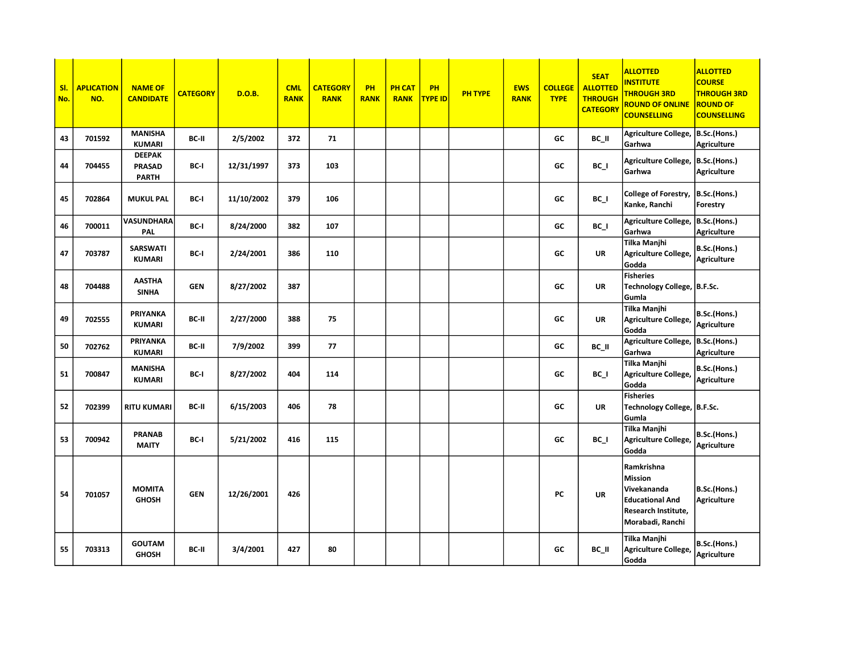| SI.<br>No. | <b>APLICATION</b><br>NO. | <b>NAME OF</b><br><b>CANDIDATE</b>             | <b>CATEGORY</b> | D.O.B.     | <b>CML</b><br><b>RANK</b> | <b>CATEGORY</b><br><b>RANK</b> | PH<br><b>RANK</b> | <b>PH CAT</b><br><b>RANK</b> | PH<br>TYPE ID | <b>PH TYPE</b> | <b>EWS</b><br><b>RANK</b> | <b>COLLEGE</b><br><b>TYPE</b> | <b>SEAT</b><br><b>ALLOTTED</b><br><b>THROUGH</b><br><b>CATEGORY</b> | <b>ALLOTTED</b><br><b>INSTITUTE</b><br><b>THROUGH 3RD</b><br><b>ROUND OF ONLINE</b><br><b>COUNSELLING</b>               | <b>ALLOTTED</b><br><b>COURSE</b><br><b>THROUGH 3RD</b><br><b>ROUND OF</b><br><b>COUNSELLING</b> |
|------------|--------------------------|------------------------------------------------|-----------------|------------|---------------------------|--------------------------------|-------------------|------------------------------|---------------|----------------|---------------------------|-------------------------------|---------------------------------------------------------------------|-------------------------------------------------------------------------------------------------------------------------|-------------------------------------------------------------------------------------------------|
| 43         | 701592                   | <b>MANISHA</b><br><b>KUMARI</b>                | BC-II           | 2/5/2002   | 372                       | 71                             |                   |                              |               |                |                           | GC                            | BC_II                                                               | Agriculture College,<br>Garhwa                                                                                          | B.Sc.(Hons.)<br><b>Agriculture</b>                                                              |
| 44         | 704455                   | <b>DEEPAK</b><br><b>PRASAD</b><br><b>PARTH</b> | BC-I            | 12/31/1997 | 373                       | 103                            |                   |                              |               |                |                           | GC                            | $BC_$                                                               | Agriculture College,  B.Sc.(Hons.)<br>Garhwa                                                                            | <b>Agriculture</b>                                                                              |
| 45         | 702864                   | <b>MUKUL PAL</b>                               | BC-I            | 11/10/2002 | 379                       | 106                            |                   |                              |               |                |                           | GC                            | $BC_$                                                               | College of Forestry,<br>Kanke, Ranchi                                                                                   | B.Sc.(Hons.)<br>Forestry                                                                        |
| 46         | 700011                   | VASUNDHARA<br>PAL                              | BC-I            | 8/24/2000  | 382                       | 107                            |                   |                              |               |                |                           | GC                            | BC I                                                                | Agriculture College,<br>Garhwa                                                                                          | B.Sc.(Hons.)<br><b>Agriculture</b>                                                              |
| 47         | 703787                   | <b>SARSWATI</b><br><b>KUMARI</b>               | BC-I            | 2/24/2001  | 386                       | 110                            |                   |                              |               |                |                           | GC                            | <b>UR</b>                                                           | Tilka Manjhi<br>Agriculture College,<br>Godda                                                                           | B.Sc.(Hons.)<br>Agriculture                                                                     |
| 48         | 704488                   | <b>AASTHA</b><br><b>SINHA</b>                  | <b>GEN</b>      | 8/27/2002  | 387                       |                                |                   |                              |               |                |                           | GC                            | <b>UR</b>                                                           | <b>Fisheries</b><br>Technology College,  B.F.Sc.<br>Gumla                                                               |                                                                                                 |
| 49         | 702555                   | PRIYANKA<br><b>KUMARI</b>                      | BC-II           | 2/27/2000  | 388                       | 75                             |                   |                              |               |                |                           | GC                            | <b>UR</b>                                                           | <b>Tilka Manjhi</b><br>Agriculture College,<br>Godda                                                                    | B.Sc.(Hons.)<br>Agriculture                                                                     |
| 50         | 702762                   | PRIYANKA<br><b>KUMARI</b>                      | BC-II           | 7/9/2002   | 399                       | 77                             |                   |                              |               |                |                           | GC                            | BC_II                                                               | Agriculture College,<br>Garhwa                                                                                          | B.Sc.(Hons.)<br><b>Agriculture</b>                                                              |
| 51         | 700847                   | <b>MANISHA</b><br><b>KUMARI</b>                | BC-I            | 8/27/2002  | 404                       | 114                            |                   |                              |               |                |                           | GC                            | $BC_$                                                               | Tilka Manjhi<br>Agriculture College,<br>Godda                                                                           | B.Sc.(Hons.)<br>Agriculture                                                                     |
| 52         | 702399                   | <b>RITU KUMARI</b>                             | BC-II           | 6/15/2003  | 406                       | 78                             |                   |                              |               |                |                           | GC                            | <b>UR</b>                                                           | <b>Fisheries</b><br>Technology College, B.F.Sc.<br>Gumla                                                                |                                                                                                 |
| 53         | 700942                   | <b>PRANAB</b><br><b>MAITY</b>                  | BC-I            | 5/21/2002  | 416                       | 115                            |                   |                              |               |                |                           | GC                            | BC I                                                                | <b>Tilka Manjhi</b><br>Agriculture College,<br>Godda                                                                    | B.Sc.(Hons.)<br>Agriculture                                                                     |
| 54         | 701057                   | <b>MOMITA</b><br><b>GHOSH</b>                  | <b>GEN</b>      | 12/26/2001 | 426                       |                                |                   |                              |               |                |                           | PC                            | <b>UR</b>                                                           | Ramkrishna<br><b>Mission</b><br>Vivekananda<br><b>Educational And</b><br><b>Research Institute,</b><br>Morabadi, Ranchi | B.Sc.(Hons.)<br><b>Agriculture</b>                                                              |
| 55         | 703313                   | <b>GOUTAM</b><br><b>GHOSH</b>                  | BC-II           | 3/4/2001   | 427                       | 80                             |                   |                              |               |                |                           | GC                            | BC_II                                                               | Tilka Manjhi<br>Agriculture College,<br>Godda                                                                           | B.Sc.(Hons.)<br>Agriculture                                                                     |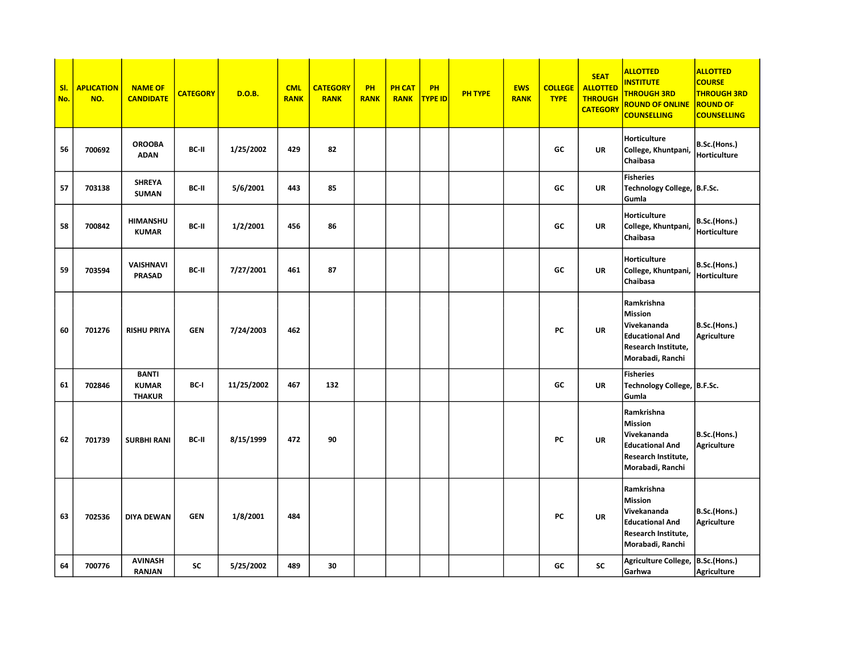| SI.<br>No. | <b>APLICATION</b><br>NO. | <b>NAME OF</b><br><b>CANDIDATE</b>            | <b>CATEGORY</b> | D.O.B.     | <b>CML</b><br><b>RANK</b> | <b>CATEGORY</b><br><b>RANK</b> | PH<br><b>RANK</b> | <b>PH CAT</b><br><b>RANK</b> | PH<br>TYPE ID | <b>PH TYPE</b> | <b>EWS</b><br><b>RANK</b> | <b>COLLEGE</b><br><b>TYPE</b> | <b>SEAT</b><br><b>ALLOTTED</b><br><b>THROUGH</b><br><b>CATEGORY</b> | <b>ALLOTTED</b><br><b>INSTITUTE</b><br><b>THROUGH 3RD</b><br><b>ROUND OF ONLINE</b><br><b>COUNSELLING</b>        | <b>ALLOTTED</b><br><b>COURSE</b><br><b>THROUGH 3RD</b><br><b>ROUND OF</b><br><b>COUNSELLING</b> |
|------------|--------------------------|-----------------------------------------------|-----------------|------------|---------------------------|--------------------------------|-------------------|------------------------------|---------------|----------------|---------------------------|-------------------------------|---------------------------------------------------------------------|------------------------------------------------------------------------------------------------------------------|-------------------------------------------------------------------------------------------------|
| 56         | 700692                   | <b>OROOBA</b><br><b>ADAN</b>                  | BC-II           | 1/25/2002  | 429                       | 82                             |                   |                              |               |                |                           | GC                            | <b>UR</b>                                                           | Horticulture<br>College, Khuntpani,<br>Chaibasa                                                                  | B.Sc.(Hons.)<br>Horticulture                                                                    |
| 57         | 703138                   | <b>SHREYA</b><br><b>SUMAN</b>                 | BC-II           | 5/6/2001   | 443                       | 85                             |                   |                              |               |                |                           | GC                            | <b>UR</b>                                                           | <b>Fisheries</b><br>Technology College, B.F.Sc.<br>Gumla                                                         |                                                                                                 |
| 58         | 700842                   | <b>HIMANSHU</b><br><b>KUMAR</b>               | BC-II           | 1/2/2001   | 456                       | 86                             |                   |                              |               |                |                           | GC                            | <b>UR</b>                                                           | Horticulture<br>College, Khuntpani,<br>Chaibasa                                                                  | B.Sc.(Hons.)<br>Horticulture                                                                    |
| 59         | 703594                   | <b>VAISHNAVI</b><br><b>PRASAD</b>             | BC-II           | 7/27/2001  | 461                       | 87                             |                   |                              |               |                |                           | GC                            | <b>UR</b>                                                           | Horticulture<br>College, Khuntpani,<br>Chaibasa                                                                  | B.Sc.(Hons.)<br>Horticulture                                                                    |
| 60         | 701276                   | <b>RISHU PRIYA</b>                            | <b>GEN</b>      | 7/24/2003  | 462                       |                                |                   |                              |               |                |                           | PC                            | <b>UR</b>                                                           | Ramkrishna<br><b>Mission</b><br>Vivekananda<br><b>Educational And</b><br>Research Institute,<br>Morabadi, Ranchi | B.Sc.(Hons.)<br>Agriculture                                                                     |
| 61         | 702846                   | <b>BANTI</b><br><b>KUMAR</b><br><b>THAKUR</b> | BC-I            | 11/25/2002 | 467                       | 132                            |                   |                              |               |                |                           | GC                            | <b>UR</b>                                                           | <b>Fisheries</b><br>Technology College, B.F.Sc.<br>Gumla                                                         |                                                                                                 |
| 62         | 701739                   | <b>SURBHI RANI</b>                            | BC-II           | 8/15/1999  | 472                       | 90                             |                   |                              |               |                |                           | PC                            | <b>UR</b>                                                           | Ramkrishna<br><b>Mission</b><br>Vivekananda<br><b>Educational And</b><br>Research Institute,<br>Morabadi, Ranchi | B.Sc.(Hons.)<br>Agriculture                                                                     |
| 63         | 702536                   | <b>DIYA DEWAN</b>                             | <b>GEN</b>      | 1/8/2001   | 484                       |                                |                   |                              |               |                |                           | PC                            | <b>UR</b>                                                           | Ramkrishna<br><b>Mission</b><br>Vivekananda<br><b>Educational And</b><br>Research Institute,<br>Morabadi, Ranchi | B.Sc.(Hons.)<br>Agriculture                                                                     |
| 64         | 700776                   | <b>AVINASH</b><br><b>RANJAN</b>               | <b>SC</b>       | 5/25/2002  | 489                       | 30                             |                   |                              |               |                |                           | GC                            | SC                                                                  | Agriculture College, B.Sc.(Hons.)<br>Garhwa                                                                      | <b>Agriculture</b>                                                                              |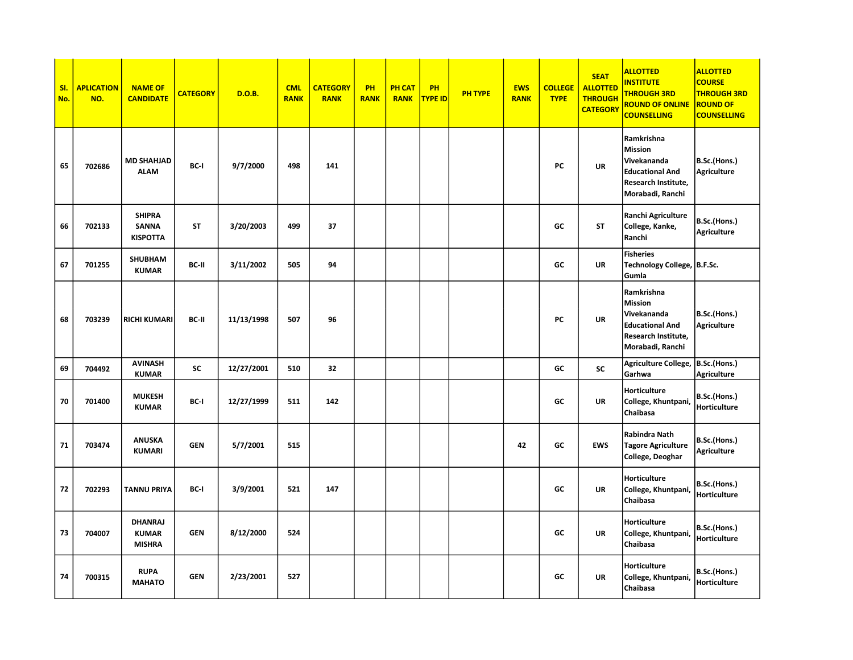| SI.<br>No. | <b>APLICATION</b><br>NO. | <b>NAME OF</b><br><b>CANDIDATE</b>               | <b>CATEGORY</b> | <b>D.O.B.</b> | <b>CML</b><br><b>RANK</b> | <b>CATEGORY</b><br><b>RANK</b> | PH<br><b>RANK</b> | <b>PH CAT</b><br><b>RANK</b> | PH<br><b>TYPE ID</b> | <b>PH TYPE</b> | <b>EWS</b><br><b>RANK</b> | <b>COLLEGE</b><br><b>TYPE</b> | <b>SEAT</b><br><b>ALLOTTED</b><br><b>THROUGH</b><br><b>CATEGORY</b> | <b>ALLOTTED</b><br><b>INSTITUTE</b><br><b>THROUGH 3RD</b><br><b>ROUND OF ONLINE</b><br><b>COUNSELLING</b>        | <b>ALLOTTED</b><br><b>COURSE</b><br><b>THROUGH 3RD</b><br><b>ROUND OF</b><br><b>COUNSELLING</b> |
|------------|--------------------------|--------------------------------------------------|-----------------|---------------|---------------------------|--------------------------------|-------------------|------------------------------|----------------------|----------------|---------------------------|-------------------------------|---------------------------------------------------------------------|------------------------------------------------------------------------------------------------------------------|-------------------------------------------------------------------------------------------------|
| 65         | 702686                   | <b>MD SHAHJAD</b><br><b>ALAM</b>                 | BC-I            | 9/7/2000      | 498                       | 141                            |                   |                              |                      |                |                           | PC                            | UR                                                                  | Ramkrishna<br><b>Mission</b><br>Vivekananda<br><b>Educational And</b><br>Research Institute,<br>Morabadi, Ranchi | B.Sc.(Hons.)<br><b>Agriculture</b>                                                              |
| 66         | 702133                   | <b>SHIPRA</b><br><b>SANNA</b><br><b>KISPOTTA</b> | <b>ST</b>       | 3/20/2003     | 499                       | 37                             |                   |                              |                      |                |                           | GC                            | <b>ST</b>                                                           | Ranchi Agriculture<br>College, Kanke,<br>Ranchi                                                                  | B.Sc.(Hons.)<br><b>Agriculture</b>                                                              |
| 67         | 701255                   | <b>SHUBHAM</b><br><b>KUMAR</b>                   | BC-II           | 3/11/2002     | 505                       | 94                             |                   |                              |                      |                |                           | GC                            | <b>UR</b>                                                           | <b>Fisheries</b><br>Technology College, B.F.Sc.<br>Gumla                                                         |                                                                                                 |
| 68         | 703239                   | <b>RICHI KUMARI</b>                              | BC-II           | 11/13/1998    | 507                       | 96                             |                   |                              |                      |                |                           | PC                            | UR                                                                  | Ramkrishna<br><b>Mission</b><br>Vivekananda<br><b>Educational And</b><br>Research Institute,<br>Morabadi, Ranchi | B.Sc.(Hons.)<br><b>Agriculture</b>                                                              |
| 69         | 704492                   | <b>AVINASH</b><br><b>KUMAR</b>                   | <b>SC</b>       | 12/27/2001    | 510                       | 32                             |                   |                              |                      |                |                           | GC                            | <b>SC</b>                                                           | Agriculture College,<br>Garhwa                                                                                   | B.Sc.(Hons.)<br><b>Agriculture</b>                                                              |
| 70         | 701400                   | <b>MUKESH</b><br><b>KUMAR</b>                    | BC-I            | 12/27/1999    | 511                       | 142                            |                   |                              |                      |                |                           | GC                            | UR                                                                  | <b>Horticulture</b><br>College, Khuntpani,<br>Chaibasa                                                           | B.Sc.(Hons.)<br>Horticulture                                                                    |
| 71         | 703474                   | <b>ANUSKA</b><br><b>KUMARI</b>                   | <b>GEN</b>      | 5/7/2001      | 515                       |                                |                   |                              |                      |                | 42                        | GC                            | <b>EWS</b>                                                          | Rabindra Nath<br><b>Tagore Agriculture</b><br>College, Deoghar                                                   | B.Sc.(Hons.)<br>Agriculture                                                                     |
| 72         | 702293                   | <b>TANNU PRIYA</b>                               | BC-I            | 3/9/2001      | 521                       | 147                            |                   |                              |                      |                |                           | GC                            | UR                                                                  | Horticulture<br>College, Khuntpani,<br>Chaibasa                                                                  | B.Sc.(Hons.)<br><b>Horticulture</b>                                                             |
| 73         | 704007                   | <b>DHANRAJ</b><br><b>KUMAR</b><br><b>MISHRA</b>  | <b>GEN</b>      | 8/12/2000     | 524                       |                                |                   |                              |                      |                |                           | GC                            | UR                                                                  | Horticulture<br>College, Khuntpani<br>Chaibasa                                                                   | B.Sc.(Hons.)<br>Horticulture                                                                    |
| 74         | 700315                   | <b>RUPA</b><br><b>MAHATO</b>                     | <b>GEN</b>      | 2/23/2001     | 527                       |                                |                   |                              |                      |                |                           | GC                            | UR                                                                  | Horticulture<br>College, Khuntpani<br>Chaibasa                                                                   | B.Sc.(Hons.)<br><b>Horticulture</b>                                                             |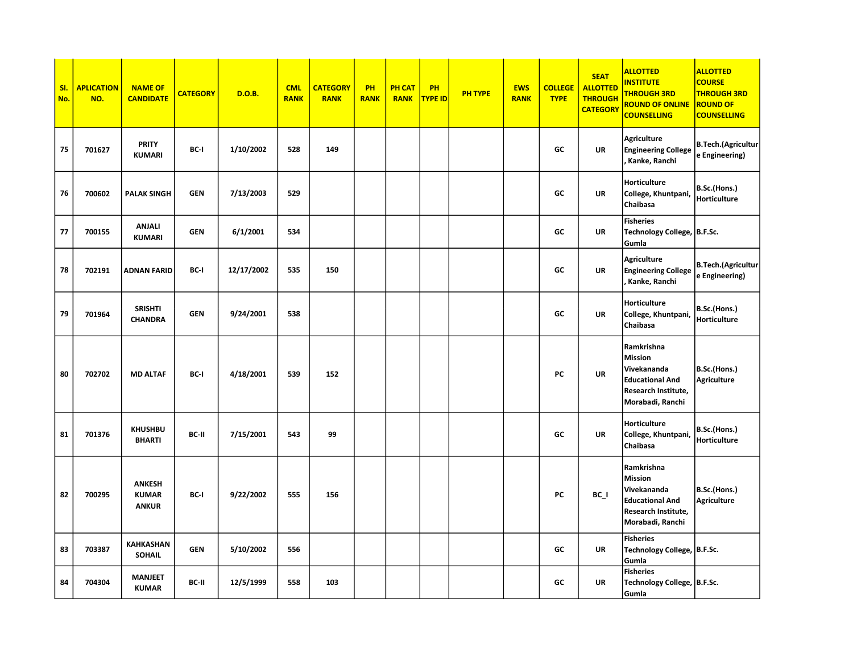| SI.<br>No. | <b>APLICATION</b><br>NO. | <b>NAME OF</b><br><b>CANDIDATE</b>            | <b>CATEGORY</b> | <b>D.O.B.</b> | <b>CML</b><br><b>RANK</b> | <b>CATEGORY</b><br><b>RANK</b> | PH<br><b>RANK</b> | <b>PH CAT</b><br><b>RANK</b> | PH<br><b>TYPE ID</b> | <b>PH TYPE</b> | <b>EWS</b><br><b>RANK</b> | <b>COLLEGE</b><br><b>TYPE</b> | <b>SEAT</b><br><b>ALLOTTED</b><br><b>THROUGH</b><br><b>CATEGORY</b> | <b>ALLOTTED</b><br><b>NSTITUTE</b><br><b>THROUGH 3RD</b><br><b>ROUND OF ONLINE</b><br><b>COUNSELLING</b>         | <b>ALLOTTED</b><br><b>COURSE</b><br><b>THROUGH 3RD</b><br><b>ROUND OF</b><br><b>COUNSELLING</b> |
|------------|--------------------------|-----------------------------------------------|-----------------|---------------|---------------------------|--------------------------------|-------------------|------------------------------|----------------------|----------------|---------------------------|-------------------------------|---------------------------------------------------------------------|------------------------------------------------------------------------------------------------------------------|-------------------------------------------------------------------------------------------------|
| 75         | 701627                   | <b>PRITY</b><br>KUMARI                        | BC-I            | 1/10/2002     | 528                       | 149                            |                   |                              |                      |                |                           | GC                            | <b>UR</b>                                                           | <b>Agriculture</b><br><b>Engineering College</b><br>Kanke, Ranchi                                                | <b>B.Tech.(Agricultur</b><br>e Engineering)                                                     |
| 76         | 700602                   | <b>PALAK SINGH</b>                            | <b>GEN</b>      | 7/13/2003     | 529                       |                                |                   |                              |                      |                |                           | GC                            | <b>UR</b>                                                           | Horticulture<br>College, Khuntpani,<br>Chaibasa                                                                  | B.Sc.(Hons.)<br>Horticulture                                                                    |
| 77         | 700155                   | <b>ANJALI</b><br><b>KUMARI</b>                | <b>GEN</b>      | 6/1/2001      | 534                       |                                |                   |                              |                      |                |                           | GC                            | UR                                                                  | <b>Fisheries</b><br>Technology College,  B.F.Sc.<br>Gumla                                                        |                                                                                                 |
| 78         | 702191                   | <b>ADNAN FARID</b>                            | BC-I            | 12/17/2002    | 535                       | 150                            |                   |                              |                      |                |                           | GC                            | <b>UR</b>                                                           | <b>Agriculture</b><br><b>Engineering College</b><br>Kanke, Ranchi                                                | <b>B.Tech.(Agricultur</b><br>e Engineering)                                                     |
| 79         | 701964                   | <b>SRISHTI</b><br><b>CHANDRA</b>              | <b>GEN</b>      | 9/24/2001     | 538                       |                                |                   |                              |                      |                |                           | GC                            | <b>UR</b>                                                           | Horticulture<br>College, Khuntpani,<br>Chaibasa                                                                  | B.Sc.(Hons.)<br>Horticulture                                                                    |
| 80         | 702702                   | <b>MD ALTAF</b>                               | BC-I            | 4/18/2001     | 539                       | 152                            |                   |                              |                      |                |                           | PC                            | <b>UR</b>                                                           | Ramkrishna<br><b>Mission</b><br>Vivekananda<br><b>Educational And</b><br>Research Institute,<br>Morabadi, Ranchi | B.Sc.(Hons.)<br><b>Agriculture</b>                                                              |
| 81         | 701376                   | <b>KHUSHBU</b><br><b>BHARTI</b>               | BC-II           | 7/15/2001     | 543                       | 99                             |                   |                              |                      |                |                           | GC                            | UR                                                                  | <b>Horticulture</b><br>College, Khuntpani,<br>Chaibasa                                                           | B.Sc.(Hons.)<br>Horticulture                                                                    |
| 82         | 700295                   | <b>ANKESH</b><br><b>KUMAR</b><br><b>ANKUR</b> | BC-I            | 9/22/2002     | 555                       | 156                            |                   |                              |                      |                |                           | PC                            | $BC_$                                                               | Ramkrishna<br><b>Mission</b><br>Vivekananda<br><b>Educational And</b><br>Research Institute,<br>Morabadi, Ranchi | B.Sc.(Hons.)<br><b>Agriculture</b>                                                              |
| 83         | 703387                   | <b>KAHKASHAN</b><br><b>SOHAIL</b>             | <b>GEN</b>      | 5/10/2002     | 556                       |                                |                   |                              |                      |                |                           | GC                            | <b>UR</b>                                                           | <b>Fisheries</b><br>Technology College,  B.F.Sc.<br>Gumla                                                        |                                                                                                 |
| 84         | 704304                   | <b>MANJEET</b><br><b>KUMAR</b>                | BC-II           | 12/5/1999     | 558                       | 103                            |                   |                              |                      |                |                           | GC                            | <b>UR</b>                                                           | <b>Fisheries</b><br>Technology College,  B.F.Sc.<br>Gumla                                                        |                                                                                                 |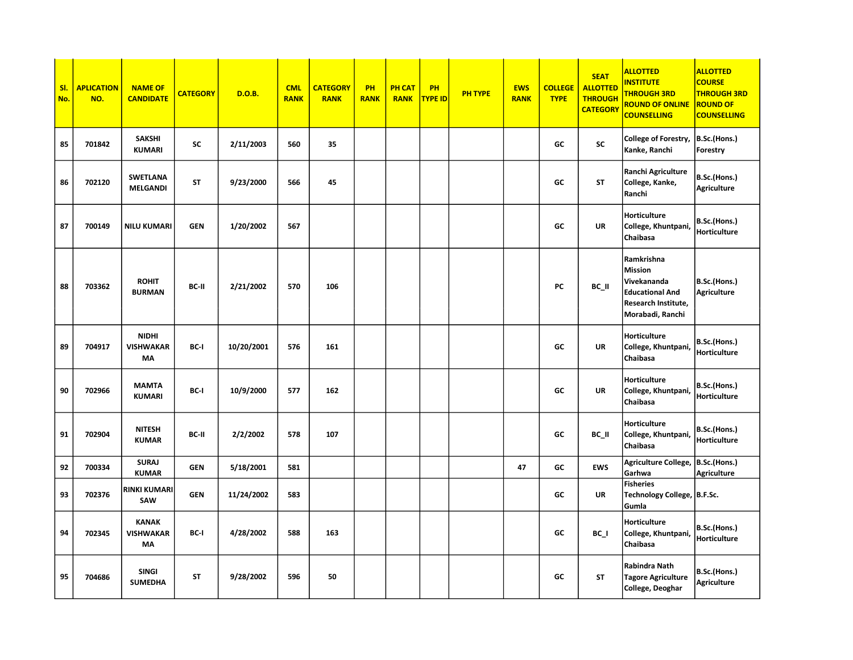| SI.<br>No. | <b>APLICATION</b><br>NO. | <b>NAME OF</b><br><b>CANDIDATE</b>            | <b>CATEGORY</b> | <b>D.O.B.</b> | <b>CML</b><br><b>RANK</b> | <b>CATEGORY</b><br><b>RANK</b> | PH<br><b>RANK</b> | <b>PH CAT</b><br><b>RANK</b> | PH<br><b>TYPE ID</b> | <b>PH TYPE</b> | <b>EWS</b><br><b>RANK</b> | <b>COLLEGE</b><br><b>TYPE</b> | <b>SEAT</b><br><b>ALLOTTED</b><br><b>THROUGH</b><br><b>CATEGORY</b> | <b>ALLOTTED</b><br><b>NSTITUTE</b><br><b>THROUGH 3RD</b><br><b>ROUND OF ONLINE</b><br><b>COUNSELLING</b>                | <b>ALLOTTED</b><br><b>COURSE</b><br><b>THROUGH 3RD</b><br><b>ROUND OF</b><br><b>COUNSELLING</b> |
|------------|--------------------------|-----------------------------------------------|-----------------|---------------|---------------------------|--------------------------------|-------------------|------------------------------|----------------------|----------------|---------------------------|-------------------------------|---------------------------------------------------------------------|-------------------------------------------------------------------------------------------------------------------------|-------------------------------------------------------------------------------------------------|
| 85         | 701842                   | <b>SAKSHI</b><br><b>KUMARI</b>                | <b>SC</b>       | 2/11/2003     | 560                       | 35                             |                   |                              |                      |                |                           | GC                            | SC                                                                  | College of Forestry,<br>Kanke, Ranchi                                                                                   | B.Sc.(Hons.)<br>Forestry                                                                        |
| 86         | 702120                   | <b>SWETLANA</b><br><b>MELGANDI</b>            | <b>ST</b>       | 9/23/2000     | 566                       | 45                             |                   |                              |                      |                |                           | GC                            | <b>ST</b>                                                           | Ranchi Agriculture<br>College, Kanke,<br>Ranchi                                                                         | B.Sc.(Hons.)<br><b>Agriculture</b>                                                              |
| 87         | 700149                   | <b>NILU KUMARI</b>                            | <b>GEN</b>      | 1/20/2002     | 567                       |                                |                   |                              |                      |                |                           | GC                            | <b>UR</b>                                                           | Horticulture<br>College, Khuntpani,<br>Chaibasa                                                                         | B.Sc.(Hons.)<br>Horticulture                                                                    |
| 88         | 703362                   | <b>ROHIT</b><br><b>BURMAN</b>                 | BC-II           | 2/21/2002     | 570                       | 106                            |                   |                              |                      |                |                           | PC                            | BC_II                                                               | Ramkrishna<br><b>Mission</b><br>Vivekananda<br><b>Educational And</b><br><b>Research Institute,</b><br>Morabadi, Ranchi | B.Sc.(Hons.)<br><b>Agriculture</b>                                                              |
| 89         | 704917                   | <b>NIDHI</b><br><b>VISHWAKAR</b><br><b>MA</b> | BC-I            | 10/20/2001    | 576                       | 161                            |                   |                              |                      |                |                           | GC                            | <b>UR</b>                                                           | <b>Horticulture</b><br>College, Khuntpani,<br>Chaibasa                                                                  | B.Sc.(Hons.)<br>Horticulture                                                                    |
| 90         | 702966                   | <b>MAMTA</b><br>KUMARI                        | BC-I            | 10/9/2000     | 577                       | 162                            |                   |                              |                      |                |                           | GC                            | <b>UR</b>                                                           | <b>Horticulture</b><br>College, Khuntpani,<br>Chaibasa                                                                  | B.Sc.(Hons.)<br>Horticulture                                                                    |
| 91         | 702904                   | <b>NITESH</b><br><b>KUMAR</b>                 | BC-II           | 2/2/2002      | 578                       | 107                            |                   |                              |                      |                |                           | GC                            | BC II                                                               | Horticulture<br>College, Khuntpani,<br>Chaibasa                                                                         | B.Sc.(Hons.)<br>Horticulture                                                                    |
| 92         | 700334                   | <b>SURAJ</b><br><b>KUMAR</b>                  | <b>GEN</b>      | 5/18/2001     | 581                       |                                |                   |                              |                      |                | 47                        | GC                            | <b>EWS</b>                                                          | Agriculture College,<br>Garhwa                                                                                          | B.Sc.(Hons.)<br><b>Agriculture</b>                                                              |
| 93         | 702376                   | <b>RINKI KUMARI</b><br>SAW                    | <b>GEN</b>      | 11/24/2002    | 583                       |                                |                   |                              |                      |                |                           | GC                            | <b>UR</b>                                                           | <b>Fisheries</b><br><b>Technology College,</b><br>Gumla                                                                 | B.F.Sc.                                                                                         |
| 94         | 702345                   | <b>KANAK</b><br><b>VISHWAKAR</b><br>MA        | BC-I            | 4/28/2002     | 588                       | 163                            |                   |                              |                      |                |                           | GC                            | BC I                                                                | <b>Horticulture</b><br>College, Khuntpani<br>Chaibasa                                                                   | B.Sc.(Hons.)<br>Horticulture                                                                    |
| 95         | 704686                   | <b>SINGI</b><br><b>SUMEDHA</b>                | ST              | 9/28/2002     | 596                       | 50                             |                   |                              |                      |                |                           | GC                            | <b>ST</b>                                                           | Rabindra Nath<br><b>Tagore Agriculture</b><br>College, Deoghar                                                          | B.Sc.(Hons.)<br><b>Agriculture</b>                                                              |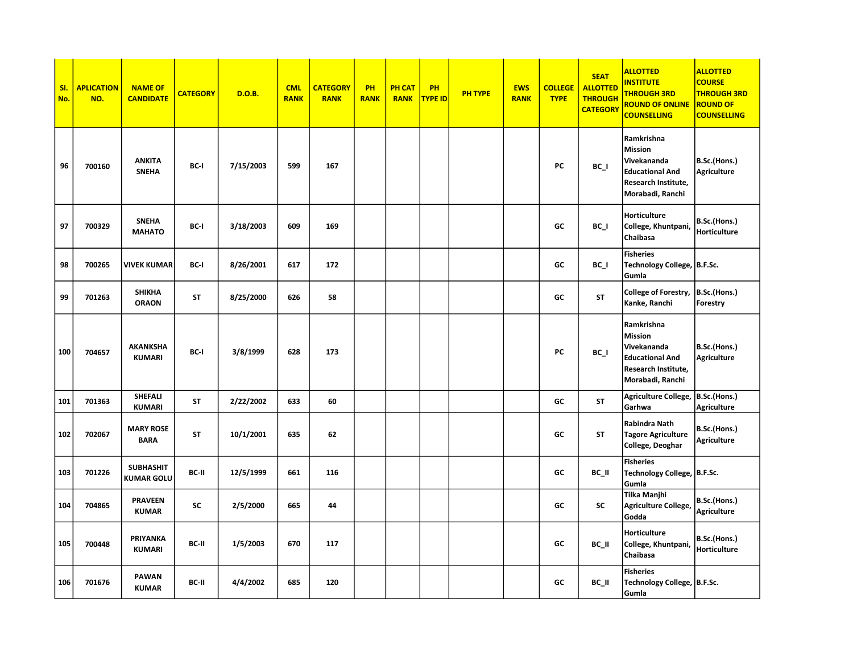| SI.<br>No. | <b>APLICATION</b><br>NO. | <b>NAME OF</b><br><b>CANDIDATE</b> | <b>CATEGORY</b> | <b>D.O.B.</b> | <b>CML</b><br><b>RANK</b> | <b>CATEGORY</b><br><b>RANK</b> | PH<br><b>RANK</b> | <b>PH CAT</b><br><b>RANK</b> | PH<br><b>TYPE ID</b> | <b>PH TYPE</b> | <b>EWS</b><br><b>RANK</b> | <b>COLLEGE</b><br><b>TYPE</b> | <b>SEAT</b><br><b>ALLOTTED</b><br><b>THROUGH</b><br><b>CATEGORY</b> | <b>ALLOTTED</b><br><b>NSTITUTE</b><br><b>THROUGH 3RD</b><br>ROUND OF ONLINE<br><b>COUNSELLING</b>         | <b>ALLOTTED</b><br><b>COURSE</b><br><b>THROUGH 3RD</b><br><b>ROUND OF</b><br><b>COUNSELLING</b> |
|------------|--------------------------|------------------------------------|-----------------|---------------|---------------------------|--------------------------------|-------------------|------------------------------|----------------------|----------------|---------------------------|-------------------------------|---------------------------------------------------------------------|-----------------------------------------------------------------------------------------------------------|-------------------------------------------------------------------------------------------------|
| 96         | 700160                   | <b>ANKITA</b><br><b>SNEHA</b>      | BC-I            | 7/15/2003     | 599                       | 167                            |                   |                              |                      |                |                           | PC                            | $BC_$                                                               | Ramkrishna<br>Mission<br>Vivekananda<br><b>Educational And</b><br>Research Institute,<br>Morabadi, Ranchi | B.Sc.(Hons.)<br><b>Agriculture</b>                                                              |
| 97         | 700329                   | <b>SNEHA</b><br><b>MAHATO</b>      | BC-I            | 3/18/2003     | 609                       | 169                            |                   |                              |                      |                |                           | GC                            | BC I                                                                | Horticulture<br>College, Khuntpani,<br>Chaibasa                                                           | B.Sc.(Hons.)<br>Horticulture                                                                    |
| 98         | 700265                   | VIVEK KUMAR                        | BC-I            | 8/26/2001     | 617                       | 172                            |                   |                              |                      |                |                           | GC                            | BC I                                                                | <b>Fisheries</b><br>Technology College,  B.F.Sc.<br>Gumla                                                 |                                                                                                 |
| 99         | 701263                   | <b>SHIKHA</b><br><b>ORAON</b>      | <b>ST</b>       | 8/25/2000     | 626                       | 58                             |                   |                              |                      |                |                           | GC                            | <b>ST</b>                                                           | College of Forestry,<br>Kanke, Ranchi                                                                     | B.Sc.(Hons.)<br>Forestry                                                                        |
| 100        | 704657                   | <b>AKANKSHA</b><br><b>KUMARI</b>   | BC-I            | 3/8/1999      | 628                       | 173                            |                   |                              |                      |                |                           | PC                            | $BC_$                                                               | Ramkrishna<br>Mission<br>Vivekananda<br><b>Educational And</b><br>Research Institute,<br>Morabadi, Ranchi | B.Sc.(Hons.)<br><b>Agriculture</b>                                                              |
| 101        | 701363                   | SHEFALI<br><b>KUMARI</b>           | <b>ST</b>       | 2/22/2002     | 633                       | 60                             |                   |                              |                      |                |                           | GC                            | <b>ST</b>                                                           | Agriculture College,<br>Garhwa                                                                            | B.Sc.(Hons.)<br><b>Agriculture</b>                                                              |
| 102        | 702067                   | <b>MARY ROSE</b><br><b>BARA</b>    | <b>ST</b>       | 10/1/2001     | 635                       | 62                             |                   |                              |                      |                |                           | GC                            | <b>ST</b>                                                           | Rabindra Nath<br><b>Tagore Agriculture</b><br>College, Deoghar                                            | B.Sc.(Hons.)<br><b>Agriculture</b>                                                              |
| 103        | 701226                   | <b>SUBHASHIT</b><br>KUMAR GOLU     | BC-II           | 12/5/1999     | 661                       | 116                            |                   |                              |                      |                |                           | GC                            | BC_II                                                               | <b>Fisheries</b><br>Technology College,   B.F.Sc.<br>Gumla                                                |                                                                                                 |
| 104        | 704865                   | <b>PRAVEEN</b><br><b>KUMAR</b>     | <b>SC</b>       | 2/5/2000      | 665                       | 44                             |                   |                              |                      |                |                           | GC                            | SC                                                                  | Tilka Manjhi<br><b>Agriculture College,</b><br>Godda                                                      | B.Sc.(Hons.)<br><b>Agriculture</b>                                                              |
| 105        | 700448                   | PRIYANKA<br><b>KUMARI</b>          | BC-II           | 1/5/2003      | 670                       | 117                            |                   |                              |                      |                |                           | GC                            | BC_II                                                               | Horticulture<br>College, Khuntpani<br>Chaibasa                                                            | B.Sc.(Hons.)<br>Horticulture                                                                    |
| 106        | 701676                   | <b>PAWAN</b><br><b>KUMAR</b>       | BC-II           | 4/4/2002      | 685                       | 120                            |                   |                              |                      |                |                           | GC                            | BC II                                                               | <b>Fisheries</b><br>Technology College,  B.F.Sc.<br>Gumla                                                 |                                                                                                 |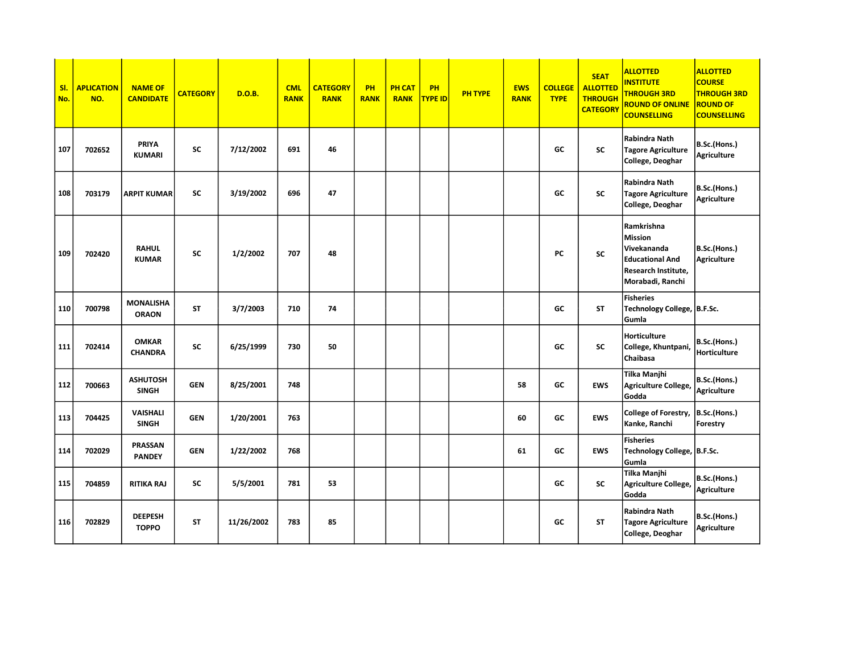| SI.<br>No. | <b>APLICATION</b><br>NO. | <b>NAME OF</b><br><b>CANDIDATE</b> | <b>CATEGORY</b> | <b>D.O.B.</b> | <b>CML</b><br><b>RANK</b> | <b>CATEGORY</b><br><b>RANK</b> | <b>PH</b><br><b>RANK</b> | <b>PH CAT</b><br><b>RANK</b> | PH<br><b>TYPE ID</b> | <b>PH TYPE</b> | <b>EWS</b><br><b>RANK</b> | <b>COLLEGE</b><br><b>TYPE</b> | <b>SEAT</b><br><b>ALLOTTED</b><br><b>THROUGH</b><br><b>CATEGORY</b> | <b>ALLOTTED</b><br><b>INSTITUTE</b><br><b>THROUGH 3RD</b><br><b>ROUND OF ONLINE</b><br><b>COUNSELLING</b>               | <b>ALLOTTED</b><br><b>COURSE</b><br><b>THROUGH 3RD</b><br><b>ROUND OF</b><br><b>COUNSELLING</b> |
|------------|--------------------------|------------------------------------|-----------------|---------------|---------------------------|--------------------------------|--------------------------|------------------------------|----------------------|----------------|---------------------------|-------------------------------|---------------------------------------------------------------------|-------------------------------------------------------------------------------------------------------------------------|-------------------------------------------------------------------------------------------------|
| 107        | 702652                   | <b>PRIYA</b><br><b>KUMARI</b>      | SC              | 7/12/2002     | 691                       | 46                             |                          |                              |                      |                |                           | GC                            | <b>SC</b>                                                           | Rabindra Nath<br><b>Tagore Agriculture</b><br>College, Deoghar                                                          | B.Sc.(Hons.)<br>Agriculture                                                                     |
| 108        | 703179                   | <b>ARPIT KUMAR</b>                 | <b>SC</b>       | 3/19/2002     | 696                       | 47                             |                          |                              |                      |                |                           | GC                            | SC                                                                  | <b>Rabindra Nath</b><br><b>Tagore Agriculture</b><br>College, Deoghar                                                   | B.Sc.(Hons.)<br><b>Agriculture</b>                                                              |
| 109        | 702420                   | <b>RAHUL</b><br><b>KUMAR</b>       | <b>SC</b>       | 1/2/2002      | 707                       | 48                             |                          |                              |                      |                |                           | PC                            | <b>SC</b>                                                           | Ramkrishna<br><b>Mission</b><br>Vivekananda<br><b>Educational And</b><br><b>Research Institute,</b><br>Morabadi, Ranchi | B.Sc.(Hons.)<br><b>Agriculture</b>                                                              |
| 110        | 700798                   | <b>MONALISHA</b><br><b>ORAON</b>   | <b>ST</b>       | 3/7/2003      | 710                       | 74                             |                          |                              |                      |                |                           | GC                            | <b>ST</b>                                                           | <b>Fisheries</b><br>Technology College, B.F.Sc.<br>Gumla                                                                |                                                                                                 |
| 111        | 702414                   | <b>OMKAR</b><br><b>CHANDRA</b>     | <b>SC</b>       | 6/25/1999     | 730                       | 50                             |                          |                              |                      |                |                           | GC                            | <b>SC</b>                                                           | <b>Horticulture</b><br>College, Khuntpani,<br>Chaibasa                                                                  | B.Sc.(Hons.)<br>Horticulture                                                                    |
| 112        | 700663                   | <b>ASHUTOSH</b><br><b>SINGH</b>    | <b>GEN</b>      | 8/25/2001     | 748                       |                                |                          |                              |                      |                | 58                        | GC                            | <b>EWS</b>                                                          | Tilka Manjhi<br>Agriculture College,<br>Godda                                                                           | B.Sc.(Hons.)<br>Agriculture                                                                     |
| 113        | 704425                   | <b>VAISHALI</b><br><b>SINGH</b>    | <b>GEN</b>      | 1/20/2001     | 763                       |                                |                          |                              |                      |                | 60                        | GC                            | <b>EWS</b>                                                          | College of Forestry,<br>Kanke, Ranchi                                                                                   | B.Sc.(Hons.)<br>Forestry                                                                        |
| 114        | 702029                   | <b>PRASSAN</b><br><b>PANDEY</b>    | <b>GEN</b>      | 1/22/2002     | 768                       |                                |                          |                              |                      |                | 61                        | GC                            | <b>EWS</b>                                                          | <b>Fisheries</b><br>Technology College, B.F.Sc.<br>Gumla                                                                |                                                                                                 |
| 115        | 704859                   | <b>RITIKA RAJ</b>                  | SC              | 5/5/2001      | 781                       | 53                             |                          |                              |                      |                |                           | GC                            | SC                                                                  | Tilka Manjhi<br>Agriculture College,<br>Godda                                                                           | B.Sc.(Hons.)<br>Agriculture                                                                     |
| 116        | 702829                   | <b>DEEPESH</b><br><b>TOPPO</b>     | <b>ST</b>       | 11/26/2002    | 783                       | 85                             |                          |                              |                      |                |                           | GC                            | <b>ST</b>                                                           | Rabindra Nath<br><b>Tagore Agriculture</b><br>College, Deoghar                                                          | B.Sc.(Hons.)<br>Agriculture                                                                     |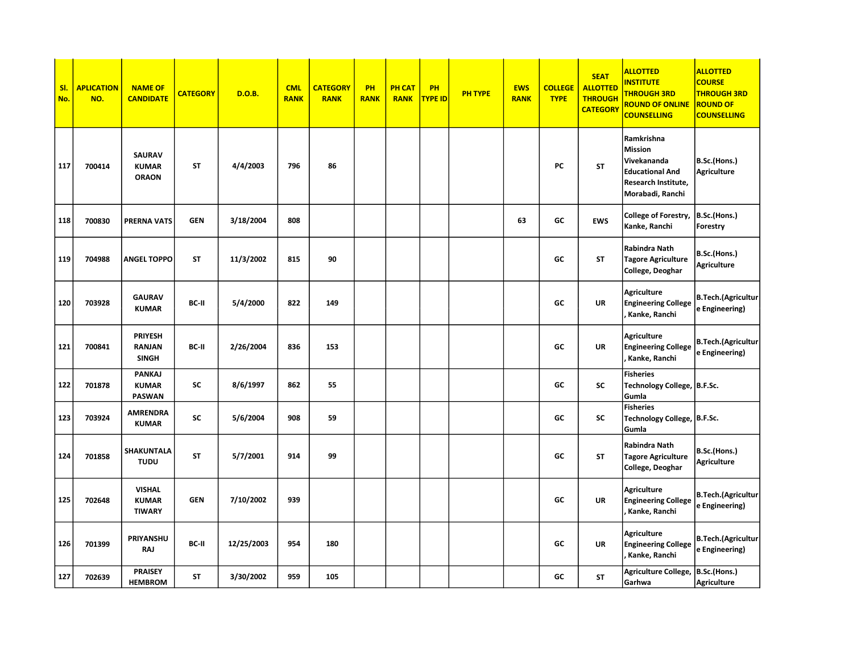| SI.<br>No. | <b>APLICATION</b><br>NO. | <b>NAME OF</b><br><b>CANDIDATE</b>             | <b>CATEGORY</b> | <b>D.O.B.</b> | <b>CML</b><br><b>RANK</b> | <b>CATEGORY</b><br><b>RANK</b> | PH<br><b>RANK</b> | <b>PH CAT</b><br><b>RANK</b> | PH<br><b>TYPE ID</b> | <b>PH TYPE</b> | <b>EWS</b><br><b>RANK</b> | <b>COLLEGE</b><br><b>TYPE</b> | <b>SEAT</b><br><b>ALLOTTED</b><br><b>THROUGH</b><br><b>CATEGORY</b> | <b>ALLOTTED</b><br><b>NSTITUTE</b><br><b>THROUGH 3RD</b><br><b>ROUND OF ONLINE</b><br><b>COUNSELLING</b>         | <b>ALLOTTED</b><br><b>COURSE</b><br><b>THROUGH 3RD</b><br><b>ROUND OF</b><br><b>COUNSELLING</b> |
|------------|--------------------------|------------------------------------------------|-----------------|---------------|---------------------------|--------------------------------|-------------------|------------------------------|----------------------|----------------|---------------------------|-------------------------------|---------------------------------------------------------------------|------------------------------------------------------------------------------------------------------------------|-------------------------------------------------------------------------------------------------|
| 117        | 700414                   | SAURAV<br><b>KUMAR</b><br><b>ORAON</b>         | <b>ST</b>       | 4/4/2003      | 796                       | 86                             |                   |                              |                      |                |                           | PC                            | <b>ST</b>                                                           | Ramkrishna<br><b>Mission</b><br>Vivekananda<br><b>Educational And</b><br>Research Institute,<br>Morabadi, Ranchi | B.Sc.(Hons.)<br><b>Agriculture</b>                                                              |
| 118        | 700830                   | PRERNA VATS                                    | <b>GEN</b>      | 3/18/2004     | 808                       |                                |                   |                              |                      |                | 63                        | GC                            | <b>EWS</b>                                                          | College of Forestry,<br>Kanke, Ranchi                                                                            | B.Sc.(Hons.)<br>Forestry                                                                        |
| 119        | 704988                   | <b>ANGEL TOPPO</b>                             | <b>ST</b>       | 11/3/2002     | 815                       | 90                             |                   |                              |                      |                |                           | GC                            | ST                                                                  | Rabindra Nath<br><b>Tagore Agriculture</b><br>College, Deoghar                                                   | B.Sc.(Hons.)<br><b>Agriculture</b>                                                              |
| 120        | 703928                   | <b>GAURAV</b><br><b>KUMAR</b>                  | BC-II           | 5/4/2000      | 822                       | 149                            |                   |                              |                      |                |                           | GC                            | <b>UR</b>                                                           | <b>Agriculture</b><br><b>Engineering College</b><br>Kanke, Ranchi                                                | <b>B.Tech.(Agricultur</b><br>e Engineering)                                                     |
| 121        | 700841                   | <b>PRIYESH</b><br>RANJAN<br><b>SINGH</b>       | BC-II           | 2/26/2004     | 836                       | 153                            |                   |                              |                      |                |                           | GC                            | UR                                                                  | <b>Agriculture</b><br><b>Engineering College</b><br>Kanke, Ranchi                                                | <b>B.Tech.(Agricultur</b><br>e Engineering)                                                     |
| 122        | 701878                   | PANKAJ<br><b>KUMAR</b><br><b>PASWAN</b>        | <b>SC</b>       | 8/6/1997      | 862                       | 55                             |                   |                              |                      |                |                           | GC                            | <b>SC</b>                                                           | <b>Fisheries</b><br>Technology College, B.F.Sc.<br>Gumla                                                         |                                                                                                 |
| 123        | 703924                   | <b>AMRENDRA</b><br><b>KUMAR</b>                | SC              | 5/6/2004      | 908                       | 59                             |                   |                              |                      |                |                           | GC                            | SC                                                                  | <b>Fisheries</b><br>Technology College,  B.F.Sc.<br>Gumla                                                        |                                                                                                 |
| 124        | 701858                   | SHAKUNTALA<br><b>TUDU</b>                      | ST              | 5/7/2001      | 914                       | 99                             |                   |                              |                      |                |                           | GC                            | <b>ST</b>                                                           | Rabindra Nath<br><b>Tagore Agriculture</b><br>College, Deoghar                                                   | B.Sc.(Hons.)<br><b>Agriculture</b>                                                              |
| 125        | 702648                   | <b>VISHAL</b><br><b>KUMAR</b><br><b>TIWARY</b> | <b>GEN</b>      | 7/10/2002     | 939                       |                                |                   |                              |                      |                |                           | GC                            | <b>UR</b>                                                           | <b>Agriculture</b><br><b>Engineering College</b><br>Kanke, Ranchi                                                | <b>B.Tech.(Agricultur</b><br>e Engineering)                                                     |
| 126        | 701399                   | PRIYANSHU<br><b>RAJ</b>                        | BC-II           | 12/25/2003    | 954                       | 180                            |                   |                              |                      |                |                           | GC                            | <b>UR</b>                                                           | <b>Agriculture</b><br><b>Engineering College</b><br>Kanke, Ranchi                                                | <b>B.Tech.(Agricultur</b><br>e Engineering)                                                     |
| 127        | 702639                   | <b>PRAISEY</b><br><b>HEMBROM</b>               | <b>ST</b>       | 3/30/2002     | 959                       | 105                            |                   |                              |                      |                |                           | GC                            | ST                                                                  | Agriculture College,<br>Garhwa                                                                                   | B.Sc.(Hons.)<br><b>Agriculture</b>                                                              |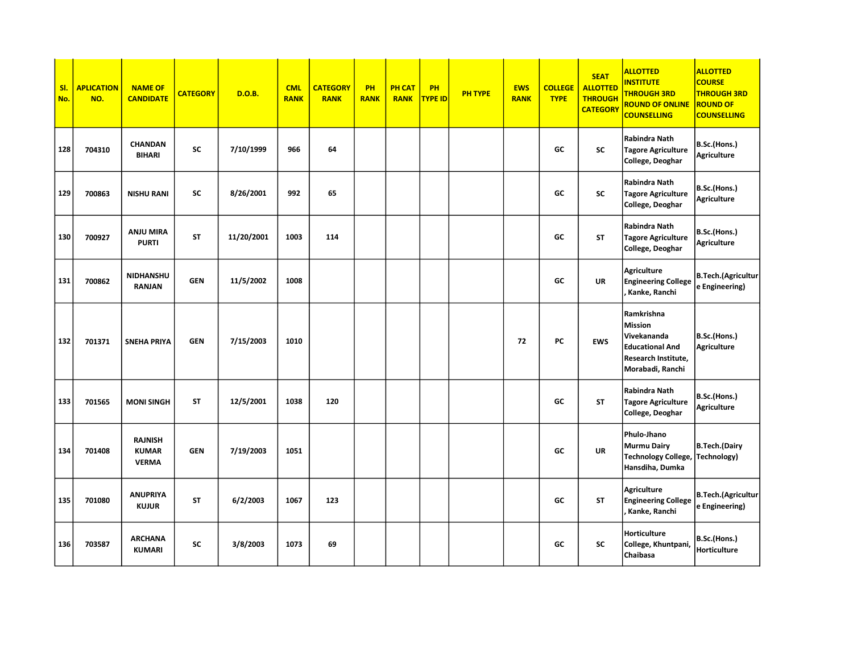| SI.<br>No. | <b>APLICATION</b><br>NO. | <b>NAME OF</b><br><b>CANDIDATE</b>             | <b>CATEGORY</b> | D.O.B.     | <b>CML</b><br><b>RANK</b> | <b>CATEGORY</b><br><b>RANK</b> | <b>PH</b><br><b>RANK</b> | <b>PH CAT</b><br><b>RANK</b> | PH<br><b>TYPE ID</b> | <b>PH TYPE</b> | <b>EWS</b><br><b>RANK</b> | <b>COLLEGE</b><br><b>TYPE</b> | <b>SEAT</b><br><b>ALLOTTED</b><br><b>THROUGH</b><br><b>CATEGORY</b> | <b>ALLOTTED</b><br><b>INSTITUTE</b><br><b>THROUGH 3RD</b><br><b>ROUND OF ONLINE</b><br><b>COUNSELLING</b> | <b>ALLOTTED</b><br><b>COURSE</b><br><b>THROUGH 3RD</b><br><b>ROUND OF</b><br><b>COUNSELLING</b> |
|------------|--------------------------|------------------------------------------------|-----------------|------------|---------------------------|--------------------------------|--------------------------|------------------------------|----------------------|----------------|---------------------------|-------------------------------|---------------------------------------------------------------------|-----------------------------------------------------------------------------------------------------------|-------------------------------------------------------------------------------------------------|
| 128        | 704310                   | <b>CHANDAN</b><br><b>BIHARI</b>                | <b>SC</b>       | 7/10/1999  | 966                       | 64                             |                          |                              |                      |                |                           | GC                            | <b>SC</b>                                                           | Rabindra Nath<br><b>Tagore Agriculture</b><br>College, Deoghar                                            | B.Sc.(Hons.)<br>Agriculture                                                                     |
| 129        | 700863                   | <b>NISHU RANI</b>                              | <b>SC</b>       | 8/26/2001  | 992                       | 65                             |                          |                              |                      |                |                           | GC                            | SC                                                                  | Rabindra Nath<br><b>Tagore Agriculture</b><br>College, Deoghar                                            | B.Sc.(Hons.)<br><b>Agriculture</b>                                                              |
| 130        | 700927                   | <b>ANJU MIRA</b><br><b>PURTI</b>               | <b>ST</b>       | 11/20/2001 | 1003                      | 114                            |                          |                              |                      |                |                           | GC                            | <b>ST</b>                                                           | Rabindra Nath<br><b>Tagore Agriculture</b><br>College, Deoghar                                            | B.Sc.(Hons.)<br><b>Agriculture</b>                                                              |
| 131        | 700862                   | NIDHANSHU<br><b>RANJAN</b>                     | <b>GEN</b>      | 11/5/2002  | 1008                      |                                |                          |                              |                      |                |                           | GC                            | <b>UR</b>                                                           | <b>Agriculture</b><br><b>Engineering College</b><br>Kanke, Ranchi                                         | <b>B.Tech.</b> (Agricultur<br>e Engineering)                                                    |
| 132        | 701371                   | <b>SNEHA PRIYA</b>                             | <b>GEN</b>      | 7/15/2003  | 1010                      |                                |                          |                              |                      |                | 72                        | PC                            | <b>EWS</b>                                                          | Ramkrishna<br>Mission<br>Vivekananda<br><b>Educational And</b><br>Research Institute,<br>Morabadi, Ranchi | B.Sc.(Hons.)<br>Agriculture                                                                     |
| 133        | 701565                   | <b>MONI SINGH</b>                              | <b>ST</b>       | 12/5/2001  | 1038                      | 120                            |                          |                              |                      |                |                           | GC                            | <b>ST</b>                                                           | Rabindra Nath<br><b>Tagore Agriculture</b><br>College, Deoghar                                            | B.Sc.(Hons.)<br><b>Agriculture</b>                                                              |
| 134        | 701408                   | <b>RAJNISH</b><br><b>KUMAR</b><br><b>VERMA</b> | <b>GEN</b>      | 7/19/2003  | 1051                      |                                |                          |                              |                      |                |                           | GC                            | <b>UR</b>                                                           | Phulo-Jhano<br><b>Murmu Dairy</b><br><b>Technology College,</b><br>Hansdiha, Dumka                        | B.Tech.(Dairy<br>Technology)                                                                    |
| 135        | 701080                   | <b>ANUPRIYA</b><br><b>KUJUR</b>                | <b>ST</b>       | 6/2/2003   | 1067                      | 123                            |                          |                              |                      |                |                           | GC                            | <b>ST</b>                                                           | <b>Agriculture</b><br><b>Engineering College</b><br>Kanke, Ranchi                                         | <b>B.Tech.</b> (Agricultur<br>e Engineering)                                                    |
| 136        | 703587                   | <b>ARCHANA</b><br><b>KUMARI</b>                | <b>SC</b>       | 3/8/2003   | 1073                      | 69                             |                          |                              |                      |                |                           | GC                            | SC                                                                  | Horticulture<br>College, Khuntpani,<br>Chaibasa                                                           | B.Sc.(Hons.)<br>Horticulture                                                                    |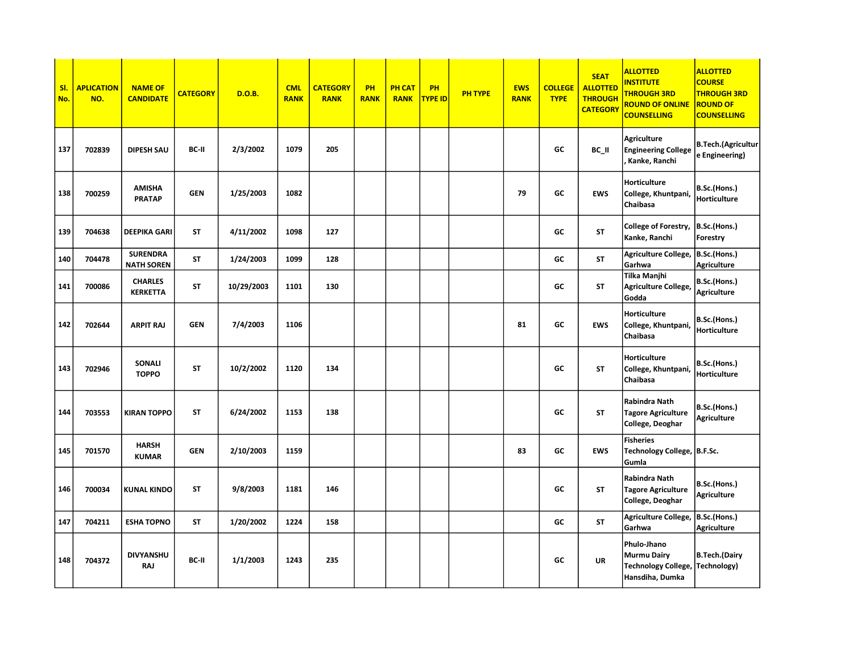| SI.<br>No. | <b>APLICATION</b><br>NO. | <b>NAME OF</b><br><b>CANDIDATE</b>   | <b>CATEGORY</b> | <b>D.O.B.</b> | <b>CML</b><br><b>RANK</b> | <b>CATEGORY</b><br><b>RANK</b> | PH<br><b>RANK</b> | <b>PH CAT</b><br><b>RANK</b> | PH<br><b>TYPE ID</b> | <b>PH TYPE</b> | <b>EWS</b><br><b>RANK</b> | <b>COLLEGE</b><br><b>TYPE</b> | <b>SEAT</b><br><b>ALLOTTED</b><br><b>THROUGH</b><br><b>CATEGORY</b> | <b>ALLOTTED</b><br><b>INSTITUTE</b><br><b>THROUGH 3RD</b><br><b>ROUND OF ONLINE</b><br><b>COUNSELLING</b> | <b>ALLOTTED</b><br><b>COURSE</b><br><b>THROUGH 3RD</b><br><b>ROUND OF</b><br><b>COUNSELLING</b> |
|------------|--------------------------|--------------------------------------|-----------------|---------------|---------------------------|--------------------------------|-------------------|------------------------------|----------------------|----------------|---------------------------|-------------------------------|---------------------------------------------------------------------|-----------------------------------------------------------------------------------------------------------|-------------------------------------------------------------------------------------------------|
| 137        | 702839                   | <b>DIPESH SAU</b>                    | BC-II           | 2/3/2002      | 1079                      | 205                            |                   |                              |                      |                |                           | GC                            | BC_II                                                               | <b>Agriculture</b><br><b>Engineering College</b><br>Kanke, Ranchi                                         | <b>B.Tech.</b> (Agricultur<br>e Engineering)                                                    |
| 138        | 700259                   | <b>AMISHA</b><br><b>PRATAP</b>       | <b>GEN</b>      | 1/25/2003     | 1082                      |                                |                   |                              |                      |                | 79                        | GC                            | <b>EWS</b>                                                          | Horticulture<br>College, Khuntpani,<br>Chaibasa                                                           | B.Sc.(Hons.)<br>Horticulture                                                                    |
| 139        | 704638                   | <b>DEEPIKA GARI</b>                  | <b>ST</b>       | 4/11/2002     | 1098                      | 127                            |                   |                              |                      |                |                           | GC                            | <b>ST</b>                                                           | College of Forestry,<br>Kanke, Ranchi                                                                     | B.Sc.(Hons.)<br>Forestry                                                                        |
| 140        | 704478                   | <b>SURENDRA</b><br><b>NATH SOREN</b> | <b>ST</b>       | 1/24/2003     | 1099                      | 128                            |                   |                              |                      |                |                           | GC                            | <b>ST</b>                                                           | Agriculture College,<br>Garhwa                                                                            | B.Sc.(Hons.)<br>Agriculture                                                                     |
| 141        | 700086                   | <b>CHARLES</b><br><b>KERKETTA</b>    | <b>ST</b>       | 10/29/2003    | 1101                      | 130                            |                   |                              |                      |                |                           | GC                            | <b>ST</b>                                                           | Tilka Manjhi<br>Agriculture College,<br>Godda                                                             | B.Sc.(Hons.)<br>Agriculture                                                                     |
| 142        | 702644                   | <b>ARPIT RAJ</b>                     | <b>GEN</b>      | 7/4/2003      | 1106                      |                                |                   |                              |                      |                | 81                        | GC                            | <b>EWS</b>                                                          | Horticulture<br>College, Khuntpani,<br>Chaibasa                                                           | B.Sc.(Hons.)<br>Horticulture                                                                    |
| 143        | 702946                   | SONALI<br><b>TOPPO</b>               | <b>ST</b>       | 10/2/2002     | 1120                      | 134                            |                   |                              |                      |                |                           | GC                            | <b>ST</b>                                                           | Horticulture<br>College, Khuntpani,<br>Chaibasa                                                           | B.Sc.(Hons.)<br>Horticulture                                                                    |
| 144        | 703553                   | <b>KIRAN TOPPO</b>                   | <b>ST</b>       | 6/24/2002     | 1153                      | 138                            |                   |                              |                      |                |                           | GC                            | <b>ST</b>                                                           | Rabindra Nath<br><b>Tagore Agriculture</b><br>College, Deoghar                                            | B.Sc.(Hons.)<br>Agriculture                                                                     |
| 145        | 701570                   | <b>HARSH</b><br><b>KUMAR</b>         | <b>GEN</b>      | 2/10/2003     | 1159                      |                                |                   |                              |                      |                | 83                        | GC                            | <b>EWS</b>                                                          | <b>Fisheries</b><br>Technology College,  B.F.Sc.<br>Gumla                                                 |                                                                                                 |
| 146        | 700034                   | <b>KUNAL KINDO</b>                   | <b>ST</b>       | 9/8/2003      | 1181                      | 146                            |                   |                              |                      |                |                           | GC                            | <b>ST</b>                                                           | Rabindra Nath<br><b>Tagore Agriculture</b><br>College, Deoghar                                            | B.Sc.(Hons.)<br><b>Agriculture</b>                                                              |
| 147        | 704211                   | <b>ESHA TOPNO</b>                    | <b>ST</b>       | 1/20/2002     | 1224                      | 158                            |                   |                              |                      |                |                           | GC                            | <b>ST</b>                                                           | Agriculture College,<br>Garhwa                                                                            | B.Sc.(Hons.)<br>Agriculture                                                                     |
| 148        | 704372                   | <b>DIVYANSHU</b><br><b>RAJ</b>       | BC-II           | 1/1/2003      | 1243                      | 235                            |                   |                              |                      |                |                           | GC                            | <b>UR</b>                                                           | Phulo-Jhano<br><b>Murmu Dairy</b><br>Technology College, Technology)<br>Hansdiha, Dumka                   | <b>B.Tech.(Dairy</b>                                                                            |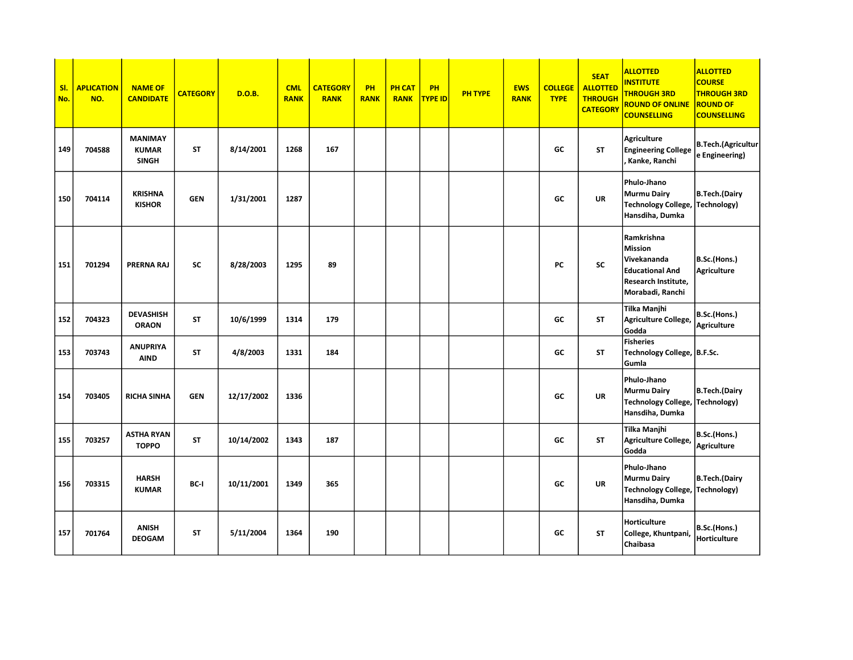| SI.<br>No. | <b>APLICATION</b><br>NO. | <b>NAME OF</b><br><b>CANDIDATE</b>             | <b>CATEGORY</b> | D.O.B.     | <b>CML</b><br><b>RANK</b> | <b>CATEGORY</b><br><b>RANK</b> | PH<br><b>RANK</b> | <b>PH CAT</b><br><b>RANK</b> | PH<br>TYPE ID | <b>PH TYPE</b> | <b>EWS</b><br><b>RANK</b> | <b>COLLEGE</b><br><b>TYPE</b> | <b>SEAT</b><br><b>ALLOTTED</b><br><b>THROUGH</b><br><b>CATEGORY</b> | <b>ALLOTTED</b><br><b>INSTITUTE</b><br><b>THROUGH 3RD</b><br><b>ROUND OF ONLINE</b><br><b>COUNSELLING</b>        | <b>ALLOTTED</b><br><b>COURSE</b><br><b>THROUGH 3RD</b><br><b>ROUND OF</b><br><b>COUNSELLING</b> |
|------------|--------------------------|------------------------------------------------|-----------------|------------|---------------------------|--------------------------------|-------------------|------------------------------|---------------|----------------|---------------------------|-------------------------------|---------------------------------------------------------------------|------------------------------------------------------------------------------------------------------------------|-------------------------------------------------------------------------------------------------|
| 149        | 704588                   | <b>MANIMAY</b><br><b>KUMAR</b><br><b>SINGH</b> | <b>ST</b>       | 8/14/2001  | 1268                      | 167                            |                   |                              |               |                |                           | GC                            | <b>ST</b>                                                           | <b>Agriculture</b><br><b>Engineering College</b><br>Kanke, Ranchi                                                | <b>B.Tech.</b> (Agricultur<br>e Engineering)                                                    |
| 150        | 704114                   | <b>KRISHNA</b><br><b>KISHOR</b>                | <b>GEN</b>      | 1/31/2001  | 1287                      |                                |                   |                              |               |                |                           | GC                            | <b>UR</b>                                                           | Phulo-Jhano<br><b>Murmu Dairy</b><br>Technology College, Technology)<br>Hansdiha, Dumka                          | B.Tech.(Dairy                                                                                   |
| 151        | 701294                   | PRERNA RAJ                                     | <b>SC</b>       | 8/28/2003  | 1295                      | 89                             |                   |                              |               |                |                           | PC                            | SC                                                                  | Ramkrishna<br><b>Mission</b><br>Vivekananda<br><b>Educational And</b><br>Research Institute,<br>Morabadi, Ranchi | B.Sc.(Hons.)<br>Agriculture                                                                     |
| 152        | 704323                   | <b>DEVASHISH</b><br><b>ORAON</b>               | <b>ST</b>       | 10/6/1999  | 1314                      | 179                            |                   |                              |               |                |                           | GC                            | <b>ST</b>                                                           | Tilka Manjhi<br>Agriculture College,<br>Godda                                                                    | B.Sc.(Hons.)<br><b>Agriculture</b>                                                              |
| 153        | 703743                   | <b>ANUPRIYA</b><br><b>AIND</b>                 | <b>ST</b>       | 4/8/2003   | 1331                      | 184                            |                   |                              |               |                |                           | GC                            | <b>ST</b>                                                           | <b>Fisheries</b><br>Technology College, B.F.Sc.<br>Gumla                                                         |                                                                                                 |
| 154        | 703405                   | <b>RICHA SINHA</b>                             | <b>GEN</b>      | 12/17/2002 | 1336                      |                                |                   |                              |               |                |                           | GC                            | <b>UR</b>                                                           | Phulo-Jhano<br>Murmu Dairy<br><b>Technology College,</b><br>Hansdiha, Dumka                                      | B.Tech.(Dairy<br>Technology)                                                                    |
| 155        | 703257                   | <b>ASTHA RYAN</b><br><b>TOPPO</b>              | <b>ST</b>       | 10/14/2002 | 1343                      | 187                            |                   |                              |               |                |                           | GC                            | <b>ST</b>                                                           | Tilka Manjhi<br>Agriculture College,<br>Godda                                                                    | B.Sc.(Hons.)<br><b>Agriculture</b>                                                              |
| 156        | 703315                   | <b>HARSH</b><br><b>KUMAR</b>                   | BC-I            | 10/11/2001 | 1349                      | 365                            |                   |                              |               |                |                           | GC                            | <b>UR</b>                                                           | Phulo-Jhano<br><b>Murmu Dairy</b><br><b>Technology College,</b><br>Hansdiha, Dumka                               | B.Tech.(Dairy<br>Technology)                                                                    |
| 157        | 701764                   | <b>ANISH</b><br><b>DEOGAM</b>                  | <b>ST</b>       | 5/11/2004  | 1364                      | 190                            |                   |                              |               |                |                           | GC                            | <b>ST</b>                                                           | Horticulture<br>College, Khuntpani,<br>Chaibasa                                                                  | B.Sc.(Hons.)<br>Horticulture                                                                    |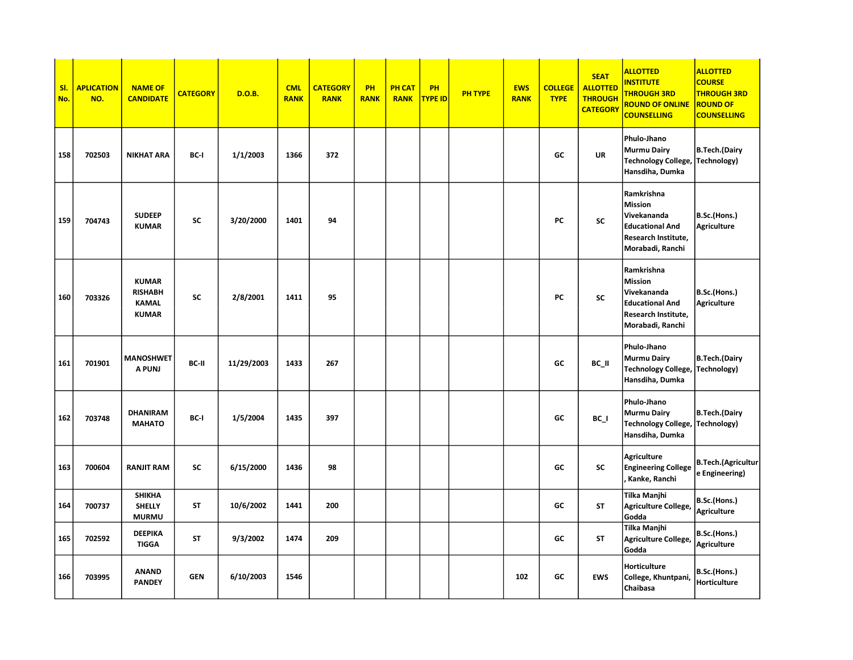| SI.<br>No. | <b>APLICATION</b><br>NO. | <b>NAME OF</b><br><b>CANDIDATE</b>                             | <b>CATEGORY</b> | <b>D.O.B.</b> | <b>CML</b><br><b>RANK</b> | <b>CATEGORY</b><br><b>RANK</b> | PH<br><b>RANK</b> | <b>PH CAT</b><br><b>RANK</b> | PH<br><b>TYPE ID</b> | <b>PH TYPE</b> | <b>EWS</b><br><b>RANK</b> | <b>COLLEGE</b><br><b>TYPE</b> | <b>SEAT</b><br><b>ALLOTTED</b><br><b>THROUGH</b><br><b>CATEGORY</b> | <b>ALLOTTED</b><br><b>INSTITUTE</b><br><b>THROUGH 3RD</b><br><b>ROUND OF ONLINE</b><br><b>COUNSELLING</b>        | <b>ALLOTTED</b><br><b>COURSE</b><br><b>THROUGH 3RD</b><br><b>ROUND OF</b><br><b>COUNSELLING</b> |
|------------|--------------------------|----------------------------------------------------------------|-----------------|---------------|---------------------------|--------------------------------|-------------------|------------------------------|----------------------|----------------|---------------------------|-------------------------------|---------------------------------------------------------------------|------------------------------------------------------------------------------------------------------------------|-------------------------------------------------------------------------------------------------|
| 158        | 702503                   | <b>NIKHAT ARA</b>                                              | BC-I            | 1/1/2003      | 1366                      | 372                            |                   |                              |                      |                |                           | GC                            | <b>UR</b>                                                           | Phulo-Jhano<br><b>Murmu Dairy</b><br><b>Technology College,</b><br>Hansdiha, Dumka                               | <b>B.Tech.(Dairy</b><br>Technology)                                                             |
| 159        | 704743                   | <b>SUDEEP</b><br><b>KUMAR</b>                                  | <b>SC</b>       | 3/20/2000     | 1401                      | 94                             |                   |                              |                      |                |                           | PC                            | <b>SC</b>                                                           | Ramkrishna<br>Mission<br>Vivekananda<br><b>Educational And</b><br>Research Institute,<br>Morabadi, Ranchi        | B.Sc.(Hons.)<br>Agriculture                                                                     |
| 160        | 703326                   | <b>KUMAR</b><br><b>RISHABH</b><br><b>KAMAL</b><br><b>KUMAR</b> | <b>SC</b>       | 2/8/2001      | 1411                      | 95                             |                   |                              |                      |                |                           | PC                            | <b>SC</b>                                                           | Ramkrishna<br><b>Mission</b><br>Vivekananda<br><b>Educational And</b><br>Research Institute,<br>Morabadi, Ranchi | B.Sc.(Hons.)<br>Agriculture                                                                     |
| 161        | 701901                   | <b>MANOSHWET</b><br>A PUNJ                                     | BC-II           | 11/29/2003    | 1433                      | 267                            |                   |                              |                      |                |                           | GC                            | BC_II                                                               | Phulo-Jhano<br><b>Murmu Dairy</b><br>Technology College,  Technology)<br>Hansdiha, Dumka                         | <b>B.Tech.</b> (Dairy                                                                           |
| 162        | 703748                   | <b>DHANIRAM</b><br><b>MAHATO</b>                               | BC-I            | 1/5/2004      | 1435                      | 397                            |                   |                              |                      |                |                           | GC                            | BC_I                                                                | Phulo-Jhano<br><b>Murmu Dairy</b><br><b>Technology College,</b><br>Hansdiha, Dumka                               | <b>B.Tech.(Dairy</b><br>Technology)                                                             |
| 163        | 700604                   | <b>RANJIT RAM</b>                                              | <b>SC</b>       | 6/15/2000     | 1436                      | 98                             |                   |                              |                      |                |                           | GC                            | <b>SC</b>                                                           | <b>Agriculture</b><br><b>Engineering College</b><br>. Kanke, Ranchi                                              | <b>B.Tech.</b> (Agricultur<br>e Engineering)                                                    |
| 164        | 700737                   | <b>SHIKHA</b><br><b>SHELLY</b><br><b>MURMU</b>                 | ST              | 10/6/2002     | 1441                      | 200                            |                   |                              |                      |                |                           | GC                            | <b>ST</b>                                                           | Tilka Manjhi<br><b>Agriculture College</b><br>Godda                                                              | B.Sc.(Hons.)<br><b>Agriculture</b>                                                              |
| 165        | 702592                   | <b>DEEPIKA</b><br><b>TIGGA</b>                                 | <b>ST</b>       | 9/3/2002      | 1474                      | 209                            |                   |                              |                      |                |                           | GC                            | <b>ST</b>                                                           | Tilka Manjhi<br>Agriculture College<br>Godda                                                                     | B.Sc.(Hons.)<br>Agriculture                                                                     |
| 166        | 703995                   | <b>ANAND</b><br><b>PANDEY</b>                                  | <b>GEN</b>      | 6/10/2003     | 1546                      |                                |                   |                              |                      |                | 102                       | GC                            | <b>EWS</b>                                                          | Horticulture<br>College, Khuntpani<br>Chaibasa                                                                   | B.Sc.(Hons.)<br>Horticulture                                                                    |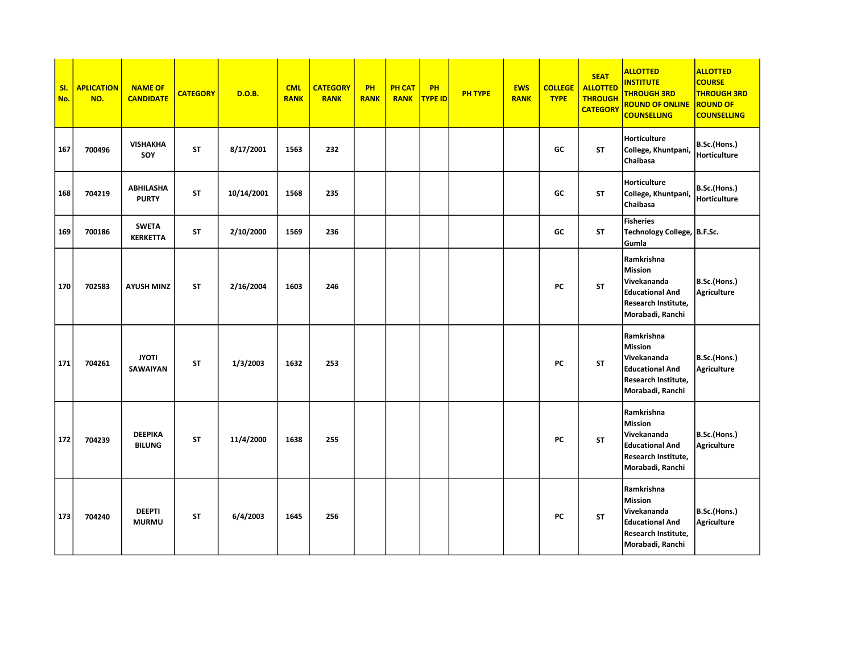| SI.<br>No. | <b>APLICATION</b><br>NO. | <b>NAME OF</b><br><b>CANDIDATE</b> | <b>CATEGORY</b> | <b>D.O.B.</b> | <b>CML</b><br><b>RANK</b> | <b>CATEGORY</b><br><b>RANK</b> | PH<br><b>RANK</b> | <b>PH CAT</b><br><b>RANK</b> | <b>PH</b><br><b>TYPE ID</b> | <b>PH TYPE</b> | <b>EWS</b><br><b>RANK</b> | <b>COLLEGE</b><br><b>TYPE</b> | <b>SEAT</b><br><b>ALLOTTED</b><br><b>THROUGH</b><br><b>CATEGORY</b> | <b>ALLOTTED</b><br><b>INSTITUTE</b><br><b>THROUGH 3RD</b><br><b>ROUND OF ONLINE</b><br><b>COUNSELLING</b>        | <b>ALLOTTED</b><br><b>COURSE</b><br><b>THROUGH 3RD</b><br><b>ROUND OF</b><br><b>COUNSELLING</b> |
|------------|--------------------------|------------------------------------|-----------------|---------------|---------------------------|--------------------------------|-------------------|------------------------------|-----------------------------|----------------|---------------------------|-------------------------------|---------------------------------------------------------------------|------------------------------------------------------------------------------------------------------------------|-------------------------------------------------------------------------------------------------|
| 167        | 700496                   | <b>VISHAKHA</b><br>SOY             | <b>ST</b>       | 8/17/2001     | 1563                      | 232                            |                   |                              |                             |                |                           | GC                            | <b>ST</b>                                                           | Horticulture<br>College, Khuntpani,<br>Chaibasa                                                                  | B.Sc.(Hons.)<br>Horticulture                                                                    |
| 168        | 704219                   | <b>ABHILASHA</b><br><b>PURTY</b>   | <b>ST</b>       | 10/14/2001    | 1568                      | 235                            |                   |                              |                             |                |                           | GC                            | <b>ST</b>                                                           | <b>Horticulture</b><br>College, Khuntpani,<br>Chaibasa                                                           | B.Sc.(Hons.)<br>Horticulture                                                                    |
| 169        | 700186                   | <b>SWETA</b><br><b>KERKETTA</b>    | <b>ST</b>       | 2/10/2000     | 1569                      | 236                            |                   |                              |                             |                |                           | GC                            | ST                                                                  | <b>Fisheries</b><br>Technology College, B.F.Sc.<br>Gumla                                                         |                                                                                                 |
| 170        | 702583                   | <b>AYUSH MINZ</b>                  | <b>ST</b>       | 2/16/2004     | 1603                      | 246                            |                   |                              |                             |                |                           | PC                            | <b>ST</b>                                                           | Ramkrishna<br><b>Mission</b><br>Vivekananda<br><b>Educational And</b><br>Research Institute,<br>Morabadi, Ranchi | B.Sc.(Hons.)<br><b>Agriculture</b>                                                              |
| 171        | 704261                   | <b>JYOTI</b><br><b>SAWAIYAN</b>    | <b>ST</b>       | 1/3/2003      | 1632                      | 253                            |                   |                              |                             |                |                           | PC                            | <b>ST</b>                                                           | Ramkrishna<br><b>Mission</b><br>Vivekananda<br><b>Educational And</b><br>Research Institute,<br>Morabadi, Ranchi | B.Sc.(Hons.)<br><b>Agriculture</b>                                                              |
| 172        | 704239                   | <b>DEEPIKA</b><br><b>BILUNG</b>    | <b>ST</b>       | 11/4/2000     | 1638                      | 255                            |                   |                              |                             |                |                           | PC                            | <b>ST</b>                                                           | Ramkrishna<br>Mission<br>Vivekananda<br><b>Educational And</b><br>Research Institute,<br>Morabadi, Ranchi        | B.Sc.(Hons.)<br><b>Agriculture</b>                                                              |
| 173        | 704240                   | <b>DEEPTI</b><br><b>MURMU</b>      | <b>ST</b>       | 6/4/2003      | 1645                      | 256                            |                   |                              |                             |                |                           | PC                            | <b>ST</b>                                                           | Ramkrishna<br>Mission<br>Vivekananda<br><b>Educational And</b><br>Research Institute,<br>Morabadi, Ranchi        | B.Sc.(Hons.)<br><b>Agriculture</b>                                                              |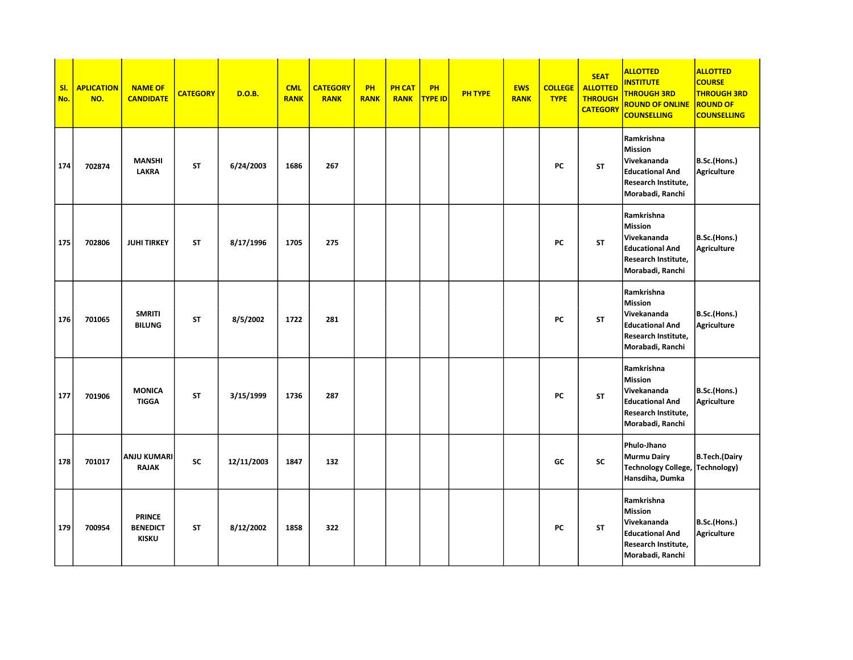| SI.<br>No. | <b>APLICATION</b><br>NO. | <b>NAME OF</b><br><b>CANDIDATE</b>               | <b>CATEGORY</b> | <b>D.O.B.</b> | <b>CML</b><br><b>RANK</b> | <b>CATEGORY</b><br><b>RANK</b> | <b>PH</b><br><b>RANK</b> | <b>PH CAT</b><br><b>RANK</b> | PH<br><b>TYPE ID</b> | <b>PH TYPE</b> | <b>EWS</b><br><b>RANK</b> | <b>COLLEGE</b><br><b>TYPE</b> | <b>SEAT</b><br><b>ALLOTTED</b><br><b>THROUGH</b><br><b>CATEGORY</b> | <b>ALLOTTED</b><br><b>INSTITUTE</b><br><b>THROUGH 3RD</b><br><b>ROUND OF ONLINE</b><br><b>COUNSELLING</b>        | <b>ALLOTTED</b><br><b>COURSE</b><br><b>THROUGH 3RD</b><br><b>ROUND OF</b><br><b>COUNSELLING</b> |
|------------|--------------------------|--------------------------------------------------|-----------------|---------------|---------------------------|--------------------------------|--------------------------|------------------------------|----------------------|----------------|---------------------------|-------------------------------|---------------------------------------------------------------------|------------------------------------------------------------------------------------------------------------------|-------------------------------------------------------------------------------------------------|
| 174        | 702874                   | <b>MANSHI</b><br><b>LAKRA</b>                    | <b>ST</b>       | 6/24/2003     | 1686                      | 267                            |                          |                              |                      |                |                           | PC                            | <b>ST</b>                                                           | Ramkrishna<br><b>Mission</b><br>Vivekananda<br><b>Educational And</b><br>Research Institute,<br>Morabadi, Ranchi | B.Sc.(Hons.)<br><b>Agriculture</b>                                                              |
| 175        | 702806                   | <b>JUHI TIRKEY</b>                               | ST              | 8/17/1996     | 1705                      | 275                            |                          |                              |                      |                |                           | PC                            | <b>ST</b>                                                           | Ramkrishna<br><b>Mission</b><br>Vivekananda<br><b>Educational And</b><br>Research Institute,<br>Morabadi, Ranchi | B.Sc.(Hons.)<br>Agriculture                                                                     |
| 176        | 701065                   | <b>SMRITI</b><br><b>BILUNG</b>                   | <b>ST</b>       | 8/5/2002      | 1722                      | 281                            |                          |                              |                      |                |                           | PC                            | <b>ST</b>                                                           | Ramkrishna<br><b>Mission</b><br>Vivekananda<br><b>Educational And</b><br>Research Institute,<br>Morabadi, Ranchi | B.Sc.(Hons.)<br>Agriculture                                                                     |
| 177        | 701906                   | <b>MONICA</b><br><b>TIGGA</b>                    | <b>ST</b>       | 3/15/1999     | 1736                      | 287                            |                          |                              |                      |                |                           | PC                            | <b>ST</b>                                                           | Ramkrishna<br><b>Mission</b><br>Vivekananda<br><b>Educational And</b><br>Research Institute,<br>Morabadi, Ranchi | B.Sc.(Hons.)<br>Agriculture                                                                     |
| 178        | 701017                   | <b>ANJU KUMARI</b><br><b>RAJAK</b>               | <b>SC</b>       | 12/11/2003    | 1847                      | 132                            |                          |                              |                      |                |                           | GC                            | SC                                                                  | Phulo-Jhano<br><b>Murmu Dairy</b><br><b>Technology College,</b><br>Hansdiha, Dumka                               | B.Tech.(Dairy<br>Technology)                                                                    |
| 179        | 700954                   | <b>PRINCE</b><br><b>BENEDICT</b><br><b>KISKU</b> | <b>ST</b>       | 8/12/2002     | 1858                      | 322                            |                          |                              |                      |                |                           | PC                            | <b>ST</b>                                                           | Ramkrishna<br><b>Mission</b><br>Vivekananda<br><b>Educational And</b><br>Research Institute,<br>Morabadi, Ranchi | B.Sc.(Hons.)<br>Agriculture                                                                     |